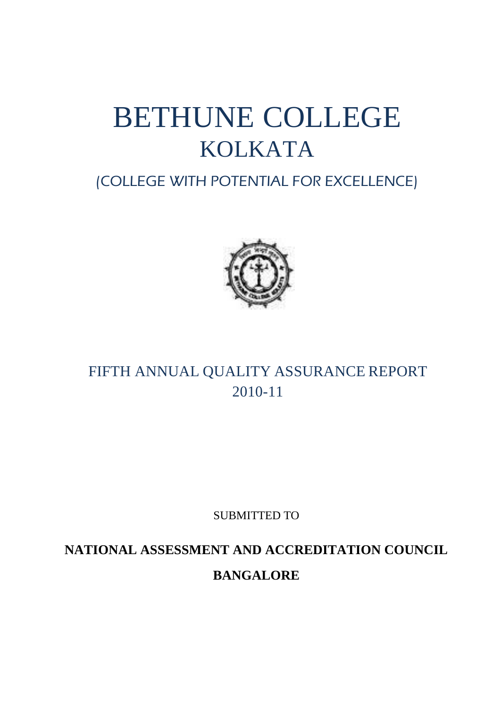# BETHUNE COLLEGE KOLKATA

# (COLLEGE WITH POTENTIAL FOR EXCELLENCE)



# FIFTH ANNUAL QUALITY ASSURANCE REPORT 2010-11

SUBMITTED TO

**NATIONAL ASSESSMENT AND ACCREDITATION COUNCIL BANGALORE**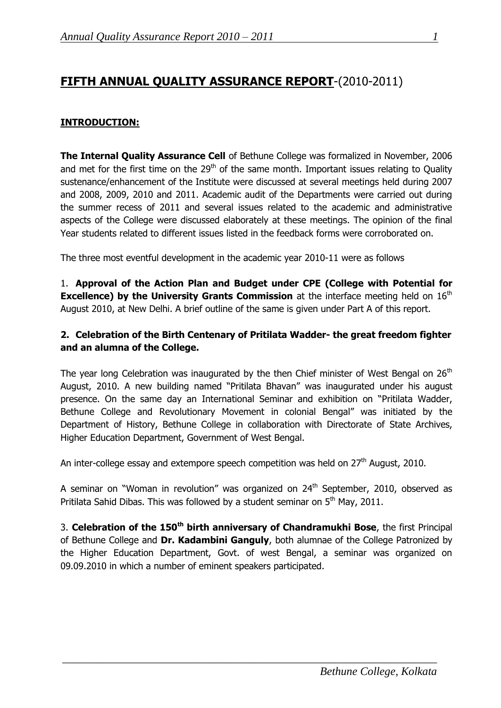# **FIFTH ANNUAL QUALITY ASSURANCE REPORT**-(2010-2011)

# **INTRODUCTION:**

**The Internal Quality Assurance Cell** of Bethune College was formalized in November, 2006 and met for the first time on the  $29<sup>th</sup>$  of the same month. Important issues relating to Quality sustenance/enhancement of the Institute were discussed at several meetings held during 2007 and 2008, 2009, 2010 and 2011. Academic audit of the Departments were carried out during the summer recess of 2011 and several issues related to the academic and administrative aspects of the College were discussed elaborately at these meetings. The opinion of the final Year students related to different issues listed in the feedback forms were corroborated on.

The three most eventful development in the academic year 2010-11 were as follows

1. **Approval of the Action Plan and Budget under CPE (College with Potential for Excellence) by the University Grants Commission** at the interface meeting held on 16<sup>th</sup> August 2010, at New Delhi. A brief outline of the same is given under Part A of this report.

# **2. Celebration of the Birth Centenary of Pritilata Wadder- the great freedom fighter and an alumna of the College.**

The year long Celebration was inaugurated by the then Chief minister of West Bengal on  $26<sup>th</sup>$ August, 2010. A new building named "Pritilata Bhavan" was inaugurated under his august presence. On the same day an International Seminar and exhibition on "Pritilata Wadder, Bethune College and Revolutionary Movement in colonial Bengal" was initiated by the Department of History, Bethune College in collaboration with Directorate of State Archives, Higher Education Department, Government of West Bengal.

An inter-college essay and extempore speech competition was held on  $27<sup>th</sup>$  August, 2010.

A seminar on "Woman in revolution" was organized on 24<sup>th</sup> September, 2010, observed as Pritilata Sahid Dibas. This was followed by a student seminar on  $5<sup>th</sup>$  May, 2011.

3. **Celebration of the 150th birth anniversary of Chandramukhi Bose**, the first Principal of Bethune College and **Dr. Kadambini Ganguly**, both alumnae of the College Patronized by the Higher Education Department, Govt. of west Bengal, a seminar was organized on 09.09.2010 in which a number of eminent speakers participated.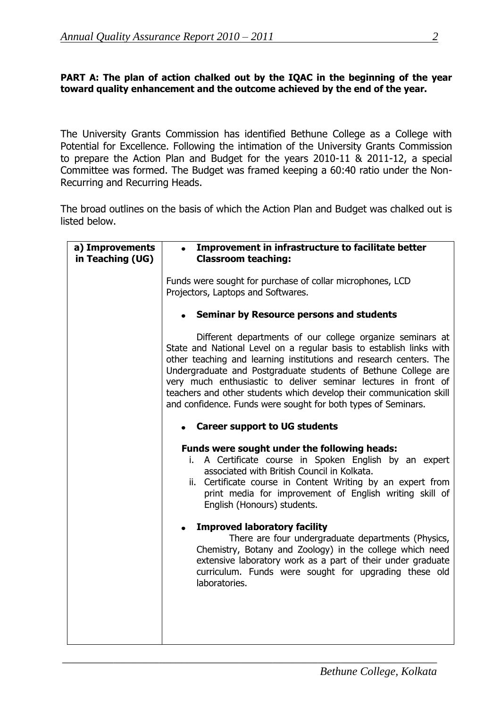# **PART A: The plan of action chalked out by the IQAC in the beginning of the year toward quality enhancement and the outcome achieved by the end of the year.**

The University Grants Commission has identified Bethune College as a College with Potential for Excellence. Following the intimation of the University Grants Commission to prepare the Action Plan and Budget for the years 2010-11 & 2011-12, a special Committee was formed. The Budget was framed keeping a 60:40 ratio under the Non-Recurring and Recurring Heads.

The broad outlines on the basis of which the Action Plan and Budget was chalked out is listed below.

| a) Improvements<br>in Teaching (UG) | Improvement in infrastructure to facilitate better<br><b>Classroom teaching:</b>                                                                                                                                                                                                                                                                                                                                                                                                   |  |  |  |  |
|-------------------------------------|------------------------------------------------------------------------------------------------------------------------------------------------------------------------------------------------------------------------------------------------------------------------------------------------------------------------------------------------------------------------------------------------------------------------------------------------------------------------------------|--|--|--|--|
|                                     | Funds were sought for purchase of collar microphones, LCD<br>Projectors, Laptops and Softwares.                                                                                                                                                                                                                                                                                                                                                                                    |  |  |  |  |
|                                     | <b>Seminar by Resource persons and students</b>                                                                                                                                                                                                                                                                                                                                                                                                                                    |  |  |  |  |
|                                     | Different departments of our college organize seminars at<br>State and National Level on a regular basis to establish links with<br>other teaching and learning institutions and research centers. The<br>Undergraduate and Postgraduate students of Bethune College are<br>very much enthusiastic to deliver seminar lectures in front of<br>teachers and other students which develop their communication skill<br>and confidence. Funds were sought for both types of Seminars. |  |  |  |  |
|                                     | • Career support to UG students                                                                                                                                                                                                                                                                                                                                                                                                                                                    |  |  |  |  |
|                                     | Funds were sought under the following heads:<br>i. A Certificate course in Spoken English by an expert<br>associated with British Council in Kolkata.<br>Certificate course in Content Writing by an expert from<br>ii.<br>print media for improvement of English writing skill of<br>English (Honours) students.                                                                                                                                                                  |  |  |  |  |
|                                     | <b>Improved laboratory facility</b><br>There are four undergraduate departments (Physics,<br>Chemistry, Botany and Zoology) in the college which need<br>extensive laboratory work as a part of their under graduate<br>curriculum. Funds were sought for upgrading these old<br>laboratories.                                                                                                                                                                                     |  |  |  |  |
|                                     |                                                                                                                                                                                                                                                                                                                                                                                                                                                                                    |  |  |  |  |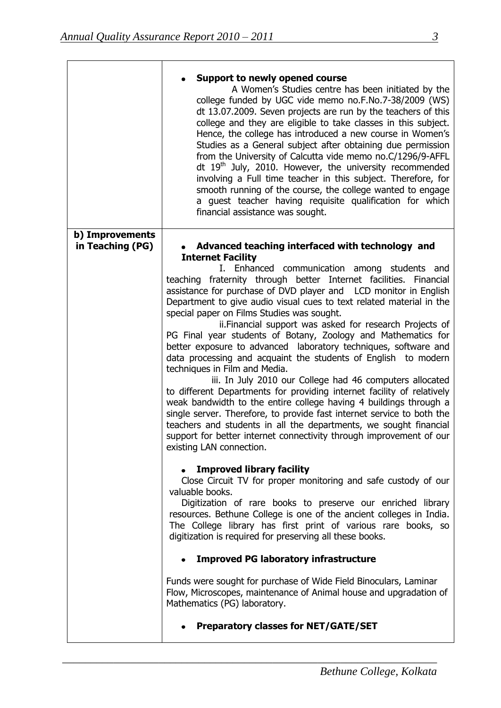|                                     | <b>Support to newly opened course</b><br>A Women's Studies centre has been initiated by the<br>college funded by UGC vide memo no.F.No.7-38/2009 (WS)<br>dt 13.07.2009. Seven projects are run by the teachers of this<br>college and they are eligible to take classes in this subject.<br>Hence, the college has introduced a new course in Women's<br>Studies as a General subject after obtaining due permission<br>from the University of Calcutta vide memo no.C/1296/9-AFFL<br>dt $19th$ July, 2010. However, the university recommended<br>involving a Full time teacher in this subject. Therefore, for<br>smooth running of the course, the college wanted to engage<br>a guest teacher having requisite qualification for which<br>financial assistance was sought.                                                                                                                                                                                                                                                                                                                                                                                                                                                                                                                                                                                                                                                                                                                                                                                                                                                                                                                   |
|-------------------------------------|--------------------------------------------------------------------------------------------------------------------------------------------------------------------------------------------------------------------------------------------------------------------------------------------------------------------------------------------------------------------------------------------------------------------------------------------------------------------------------------------------------------------------------------------------------------------------------------------------------------------------------------------------------------------------------------------------------------------------------------------------------------------------------------------------------------------------------------------------------------------------------------------------------------------------------------------------------------------------------------------------------------------------------------------------------------------------------------------------------------------------------------------------------------------------------------------------------------------------------------------------------------------------------------------------------------------------------------------------------------------------------------------------------------------------------------------------------------------------------------------------------------------------------------------------------------------------------------------------------------------------------------------------------------------------------------------------|
| b) Improvements<br>in Teaching (PG) | Advanced teaching interfaced with technology and<br><b>Internet Facility</b>                                                                                                                                                                                                                                                                                                                                                                                                                                                                                                                                                                                                                                                                                                                                                                                                                                                                                                                                                                                                                                                                                                                                                                                                                                                                                                                                                                                                                                                                                                                                                                                                                     |
|                                     | I. Enhanced communication among students and<br>teaching fraternity through better Internet facilities. Financial<br>assistance for purchase of DVD player and LCD monitor in English<br>Department to give audio visual cues to text related material in the<br>special paper on Films Studies was sought.<br>ii. Financial support was asked for research Projects of<br>PG Final year students of Botany, Zoology and Mathematics for<br>better exposure to advanced laboratory techniques, software and<br>data processing and acquaint the students of English to modern<br>techniques in Film and Media.<br>iii. In July 2010 our College had 46 computers allocated<br>to different Departments for providing internet facility of relatively<br>weak bandwidth to the entire college having 4 buildings through a<br>single server. Therefore, to provide fast internet service to both the<br>teachers and students in all the departments, we sought financial<br>support for better internet connectivity through improvement of our<br>existing LAN connection.<br><b>Improved library facility</b><br>Close Circuit TV for proper monitoring and safe custody of our<br>valuable books.<br>Digitization of rare books to preserve our enriched library<br>resources. Bethune College is one of the ancient colleges in India.<br>The College library has first print of various rare books, so<br>digitization is required for preserving all these books.<br><b>Improved PG laboratory infrastructure</b><br>Funds were sought for purchase of Wide Field Binoculars, Laminar<br>Flow, Microscopes, maintenance of Animal house and upgradation of<br>Mathematics (PG) laboratory. |
|                                     | <b>Preparatory classes for NET/GATE/SET</b>                                                                                                                                                                                                                                                                                                                                                                                                                                                                                                                                                                                                                                                                                                                                                                                                                                                                                                                                                                                                                                                                                                                                                                                                                                                                                                                                                                                                                                                                                                                                                                                                                                                      |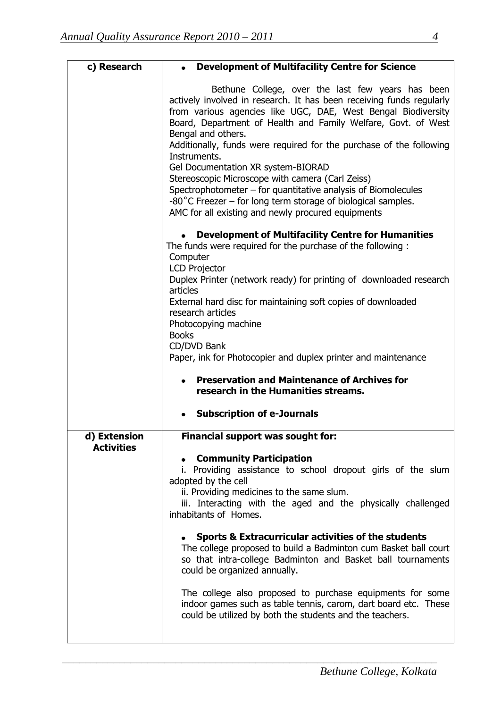| c) Research                       | <b>Development of Multifacility Centre for Science</b>                                                                                                                                                                                                                                                                                                                                                                                                                                                                                                                                                                                                                |  |  |  |
|-----------------------------------|-----------------------------------------------------------------------------------------------------------------------------------------------------------------------------------------------------------------------------------------------------------------------------------------------------------------------------------------------------------------------------------------------------------------------------------------------------------------------------------------------------------------------------------------------------------------------------------------------------------------------------------------------------------------------|--|--|--|
|                                   | Bethune College, over the last few years has been<br>actively involved in research. It has been receiving funds regularly<br>from various agencies like UGC, DAE, West Bengal Biodiversity<br>Board, Department of Health and Family Welfare, Govt. of West<br>Bengal and others.<br>Additionally, funds were required for the purchase of the following<br>Instruments.<br>Gel Documentation XR system-BIORAD<br>Stereoscopic Microscope with camera (Carl Zeiss)<br>Spectrophotometer $-$ for quantitative analysis of Biomolecules<br>$-80^{\circ}$ C Freezer – for long term storage of biological samples.<br>AMC for all existing and newly procured equipments |  |  |  |
|                                   | <b>Development of Multifacility Centre for Humanities</b><br>The funds were required for the purchase of the following :<br>Computer<br><b>LCD Projector</b>                                                                                                                                                                                                                                                                                                                                                                                                                                                                                                          |  |  |  |
|                                   | Duplex Printer (network ready) for printing of downloaded research<br>articles<br>External hard disc for maintaining soft copies of downloaded<br>research articles                                                                                                                                                                                                                                                                                                                                                                                                                                                                                                   |  |  |  |
|                                   | Photocopying machine<br><b>Books</b><br>CD/DVD Bank                                                                                                                                                                                                                                                                                                                                                                                                                                                                                                                                                                                                                   |  |  |  |
|                                   | Paper, ink for Photocopier and duplex printer and maintenance<br><b>Preservation and Maintenance of Archives for</b><br>$\bullet$<br>research in the Humanities streams.                                                                                                                                                                                                                                                                                                                                                                                                                                                                                              |  |  |  |
|                                   | <b>Subscription of e-Journals</b>                                                                                                                                                                                                                                                                                                                                                                                                                                                                                                                                                                                                                                     |  |  |  |
| d) Extension<br><b>Activities</b> | Financial support was sought for:                                                                                                                                                                                                                                                                                                                                                                                                                                                                                                                                                                                                                                     |  |  |  |
|                                   | <b>Community Participation</b><br>i. Providing assistance to school dropout girls of the slum<br>adopted by the cell<br>ii. Providing medicines to the same slum.<br>iii. Interacting with the aged and the physically challenged<br>inhabitants of Homes.                                                                                                                                                                                                                                                                                                                                                                                                            |  |  |  |
|                                   | <b>Sports &amp; Extracurricular activities of the students</b><br>The college proposed to build a Badminton cum Basket ball court<br>so that intra-college Badminton and Basket ball tournaments<br>could be organized annually.                                                                                                                                                                                                                                                                                                                                                                                                                                      |  |  |  |
|                                   | The college also proposed to purchase equipments for some<br>indoor games such as table tennis, carom, dart board etc. These<br>could be utilized by both the students and the teachers.                                                                                                                                                                                                                                                                                                                                                                                                                                                                              |  |  |  |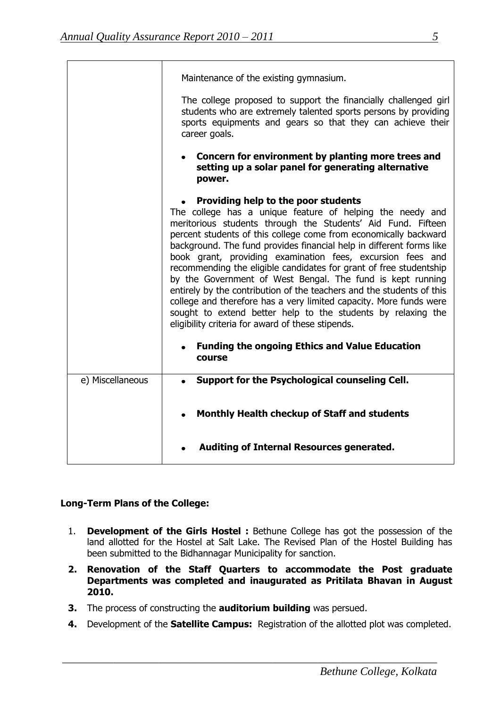|                  | Maintenance of the existing gymnasium.                                                                                                                                                                                                                                                                                                                                                                                                                                                                                                                                                                                                                                                                                                                                                                                                             |
|------------------|----------------------------------------------------------------------------------------------------------------------------------------------------------------------------------------------------------------------------------------------------------------------------------------------------------------------------------------------------------------------------------------------------------------------------------------------------------------------------------------------------------------------------------------------------------------------------------------------------------------------------------------------------------------------------------------------------------------------------------------------------------------------------------------------------------------------------------------------------|
|                  | The college proposed to support the financially challenged girl<br>students who are extremely talented sports persons by providing<br>sports equipments and gears so that they can achieve their<br>career goals.                                                                                                                                                                                                                                                                                                                                                                                                                                                                                                                                                                                                                                  |
|                  | Concern for environment by planting more trees and<br>setting up a solar panel for generating alternative<br>power.                                                                                                                                                                                                                                                                                                                                                                                                                                                                                                                                                                                                                                                                                                                                |
|                  | • Providing help to the poor students<br>The college has a unique feature of helping the needy and<br>meritorious students through the Students' Aid Fund. Fifteen<br>percent students of this college come from economically backward<br>background. The fund provides financial help in different forms like<br>book grant, providing examination fees, excursion fees and<br>recommending the eligible candidates for grant of free studentship<br>by the Government of West Bengal. The fund is kept running<br>entirely by the contribution of the teachers and the students of this<br>college and therefore has a very limited capacity. More funds were<br>sought to extend better help to the students by relaxing the<br>eligibility criteria for award of these stipends.<br><b>Funding the ongoing Ethics and Value Education</b><br>٠ |
|                  | course                                                                                                                                                                                                                                                                                                                                                                                                                                                                                                                                                                                                                                                                                                                                                                                                                                             |
| e) Miscellaneous | Support for the Psychological counseling Cell.<br>$\bullet$                                                                                                                                                                                                                                                                                                                                                                                                                                                                                                                                                                                                                                                                                                                                                                                        |
|                  | Monthly Health checkup of Staff and students                                                                                                                                                                                                                                                                                                                                                                                                                                                                                                                                                                                                                                                                                                                                                                                                       |
|                  | Auditing of Internal Resources generated.                                                                                                                                                                                                                                                                                                                                                                                                                                                                                                                                                                                                                                                                                                                                                                                                          |

# **Long-Term Plans of the College:**

- 1. **Development of the Girls Hostel :** Bethune College has got the possession of the land allotted for the Hostel at Salt Lake. The Revised Plan of the Hostel Building has been submitted to the Bidhannagar Municipality for sanction.
- **2. Renovation of the Staff Quarters to accommodate the Post graduate Departments was completed and inaugurated as Pritilata Bhavan in August 2010.**
- **3.** The process of constructing the **auditorium building** was persued.
- **4.** Development of the **Satellite Campus:** Registration of the allotted plot was completed.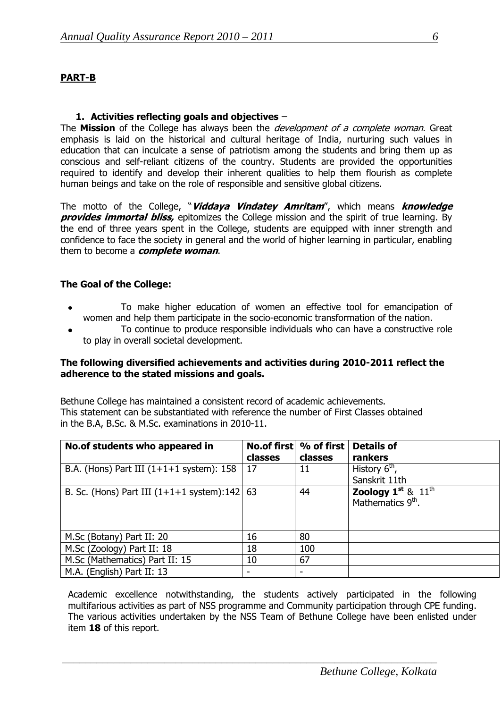#### **1. Activities reflecting goals and objectives** –

The **Mission** of the College has always been the development of a complete woman. Great emphasis is laid on the historical and cultural heritage of India, nurturing such values in education that can inculcate a sense of patriotism among the students and bring them up as conscious and self-reliant citizens of the country. Students are provided the opportunities required to identify and develop their inherent qualities to help them flourish as complete human beings and take on the role of responsible and sensitive global citizens.

The motto of the College, "**Viddaya Vindatey Amritam**", which means **knowledge provides immortal bliss,** epitomizes the College mission and the spirit of true learning. By the end of three years spent in the College, students are equipped with inner strength and confidence to face the society in general and the world of higher learning in particular, enabling them to become a **complete woman**.

#### **The Goal of the College:**

- To make higher education of women an effective tool for emancipation of  $\bullet$ women and help them participate in the socio-economic transformation of the nation.
- To continue to produce responsible individuals who can have a constructive role to play in overall societal development.

#### **The following diversified achievements and activities during 2010-2011 reflect the adherence to the stated missions and goals.**

Bethune College has maintained a consistent record of academic achievements. This statement can be substantiated with reference the number of First Classes obtained in the B.A, B.Sc. & M.Sc. examinations in 2010-11.

| No.of students who appeared in                  | classes | No.of first \% of first<br>classes | <b>Details of</b><br>rankers                                  |
|-------------------------------------------------|---------|------------------------------------|---------------------------------------------------------------|
| B.A. (Hons) Part III $(1+1+1)$ system): 158     | 17      | 11                                 | History $6th$                                                 |
|                                                 |         |                                    | Sanskrit 11th                                                 |
| B. Sc. (Hons) Part III $(1+1+1)$ system):142 63 |         | 44                                 | Zoology $1^{st}$ & $11^{th}$<br>Mathematics 9 <sup>th</sup> . |
| M.Sc (Botany) Part II: 20                       | 16      | 80                                 |                                                               |
| M.Sc (Zoology) Part II: 18                      | 18      | 100                                |                                                               |
| M.Sc (Mathematics) Part II: 15                  | 10      | 67                                 |                                                               |
| M.A. (English) Part II: 13                      | ۰       | ٠                                  |                                                               |

Academic excellence notwithstanding, the students actively participated in the following multifarious activities as part of NSS programme and Community participation through CPE funding. The various activities undertaken by the NSS Team of Bethune College have been enlisted under item **18** of this report.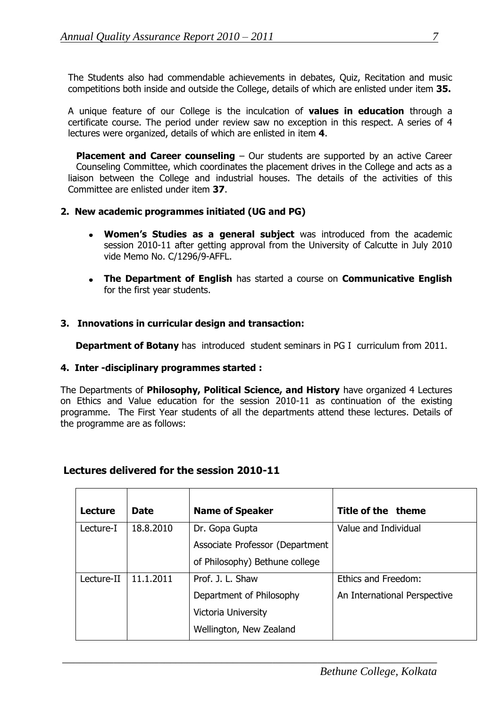The Students also had commendable achievements in debates, Quiz, Recitation and music competitions both inside and outside the College, details of which are enlisted under item **35.**

A unique feature of our College is the inculcation of **values in education** through a certificate course. The period under review saw no exception in this respect. A series of 4 lectures were organized, details of which are enlisted in item **4**.

**Placement and Career counseling** – Our students are supported by an active Career Counseling Committee, which coordinates the placement drives in the College and acts as a liaison between the College and industrial houses. The details of the activities of this Committee are enlisted under item **37**.

#### **2. New academic programmes initiated (UG and PG)**

- **Women's Studies as a general subject** was introduced from the academic session 2010-11 after getting approval from the University of Calcutte in July 2010 vide Memo No. C/1296/9-AFFL.
- **The Department of English** has started a course on **Communicative English**  for the first year students.

#### **3. Innovations in curricular design and transaction:**

**Department of Botany** has introduced student seminars in PG I curriculum from 2011.

#### **4. Inter -disciplinary programmes started :**

The Departments of **Philosophy, Political Science, and History** have organized 4 Lectures on Ethics and Value education for the session 2010-11 as continuation of the existing programme. The First Year students of all the departments attend these lectures. Details of the programme are as follows:

#### **Lectures delivered for the session 2010-11**

| <b>Lecture</b> | <b>Date</b> | <b>Name of Speaker</b>          | Title of the theme           |
|----------------|-------------|---------------------------------|------------------------------|
| Lecture-I      | 18.8.2010   | Dr. Gopa Gupta                  | Value and Individual         |
|                |             | Associate Professor (Department |                              |
|                |             | of Philosophy) Bethune college  |                              |
| Lecture-II     | 11.1.2011   | Prof. J. L. Shaw                | Ethics and Freedom:          |
|                |             | Department of Philosophy        | An International Perspective |
|                |             | Victoria University             |                              |
|                |             | Wellington, New Zealand         |                              |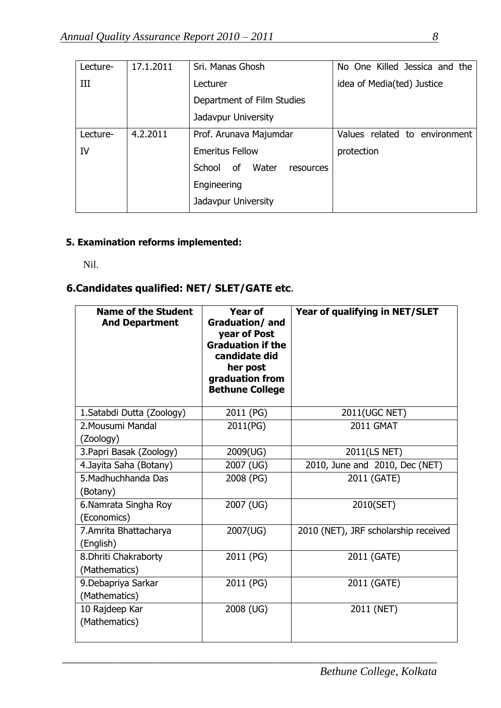| Lecture- | 17.1.2011 | Sri. Manas Ghosh                   | No One Killed Jessica and the |
|----------|-----------|------------------------------------|-------------------------------|
| III      |           | Lecturer                           | idea of Media(ted) Justice    |
|          |           | Department of Film Studies         |                               |
|          |           | Jadavpur University                |                               |
| Lecture- | 4.2.2011  | Prof. Arunava Majumdar             | Values related to environment |
| IV       |           | <b>Emeritus Fellow</b>             | protection                    |
|          |           | Water<br>of<br>School<br>resources |                               |
|          |           | Engineering                        |                               |
|          |           | Jadavpur University                |                               |
|          |           |                                    |                               |

# **5. Examination reforms implemented:**

Nil.

# **6.Candidates qualified: NET/ SLET/GATE etc**.

| <b>Name of the Student</b><br><b>And Department</b> | <b>Year of</b><br><b>Graduation/and</b><br>year of Post<br><b>Graduation if the</b><br>candidate did<br>her post<br>graduation from<br><b>Bethune College</b> | Year of qualifying in NET/SLET       |
|-----------------------------------------------------|---------------------------------------------------------------------------------------------------------------------------------------------------------------|--------------------------------------|
| 1. Satabdi Dutta (Zoology)                          | 2011 (PG)                                                                                                                                                     | 2011(UGC NET)                        |
| 2. Mousumi Mandal<br>(Zoology)                      | 2011(PG)                                                                                                                                                      | <b>2011 GMAT</b>                     |
| 3. Papri Basak (Zoology)                            | 2009(UG)                                                                                                                                                      | 2011(LS NET)                         |
| 4. Jayita Saha (Botany)                             | 2007 (UG)                                                                                                                                                     | 2010, June and 2010, Dec (NET)       |
| 5. Madhuchhanda Das<br>(Botany)                     | 2008 (PG)                                                                                                                                                     | 2011 (GATE)                          |
| 6.Namrata Singha Roy<br>(Economics)                 | 2007 (UG)                                                                                                                                                     | 2010(SET)                            |
| 7.Amrita Bhattacharya<br>(English)                  | 2007(UG)                                                                                                                                                      | 2010 (NET), JRF scholarship received |
| 8. Dhriti Chakraborty<br>(Mathematics)              | 2011 (PG)                                                                                                                                                     | 2011 (GATE)                          |
| 9. Debapriya Sarkar<br>(Mathematics)                | 2011 (PG)                                                                                                                                                     | 2011 (GATE)                          |
| 10 Rajdeep Kar<br>(Mathematics)                     | 2008 (UG)                                                                                                                                                     | 2011 (NET)                           |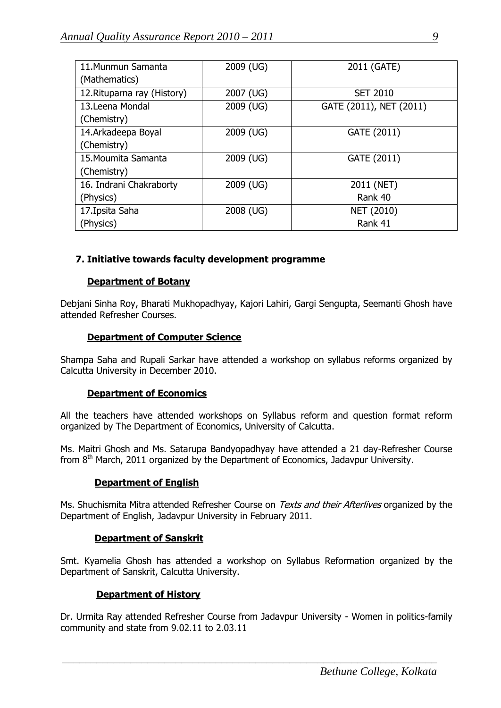| 11. Munmun Samanta          | 2009 (UG) | 2011 (GATE)             |
|-----------------------------|-----------|-------------------------|
| (Mathematics)               |           |                         |
| 12. Rituparna ray (History) | 2007 (UG) | <b>SET 2010</b>         |
| 13. Leena Mondal            | 2009 (UG) | GATE (2011), NET (2011) |
| (Chemistry)                 |           |                         |
| 14.Arkadeepa Boyal          | 2009 (UG) | GATE (2011)             |
| (Chemistry)                 |           |                         |
| 15. Moumita Samanta         | 2009 (UG) | GATE (2011)             |
| (Chemistry)                 |           |                         |
| 16. Indrani Chakraborty     | 2009 (UG) | 2011 (NET)              |
| (Physics)                   |           | Rank 40                 |
| 17. Ipsita Saha             | 2008 (UG) | NET (2010)              |
| (Physics)                   |           | Rank 41                 |

# **7. Initiative towards faculty development programme**

#### **Department of Botany**

Debjani Sinha Roy, Bharati Mukhopadhyay, Kajori Lahiri, Gargi Sengupta, Seemanti Ghosh have attended Refresher Courses.

#### **Department of Computer Science**

Shampa Saha and Rupali Sarkar have attended a workshop on syllabus reforms organized by Calcutta University in December 2010.

#### **Department of Economics**

All the teachers have attended workshops on Syllabus reform and question format reform organized by The Department of Economics, University of Calcutta.

Ms. Maitri Ghosh and Ms. Satarupa Bandyopadhyay have attended a 21 day-Refresher Course from  $8<sup>th</sup>$  March, 2011 organized by the Department of Economics, Jadavpur University.

#### **Department of English**

Ms. Shuchismita Mitra attended Refresher Course on *Texts and their Afterlives* organized by the Department of English, Jadavpur University in February 2011.

#### **Department of Sanskrit**

Smt. Kyamelia Ghosh has attended a workshop on Syllabus Reformation organized by the Department of Sanskrit, Calcutta University.

#### **Department of History**

Dr. Urmita Ray attended Refresher Course from Jadavpur University - Women in politics-family community and state from 9.02.11 to 2.03.11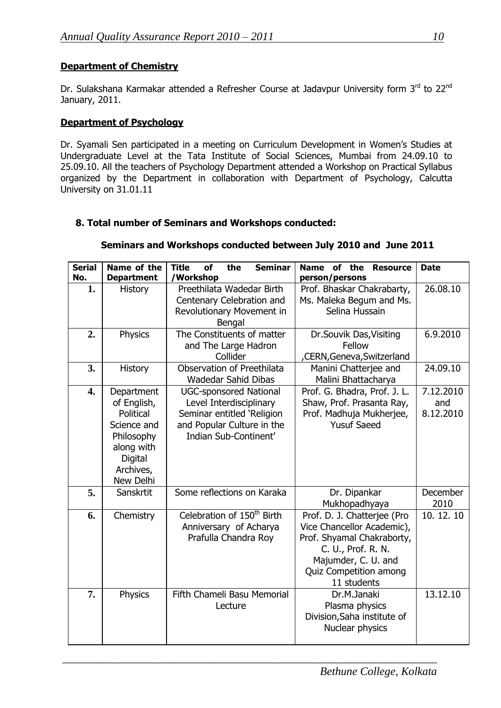# **Department of Chemistry**

Dr. Sulakshana Karmakar attended a Refresher Course at Jadavpur University form 3rd to 22nd January, 2011.

## **Department of Psychology**

Dr. Syamali Sen participated in a meeting on Curriculum Development in Women's Studies at Undergraduate Level at the Tata Institute of Social Sciences, Mumbai from 24.09.10 to 25.09.10. All the teachers of Psychology Department attended a Workshop on Practical Syllabus organized by the Department in collaboration with Department of Psychology, Calcutta University on 31.01.11

# **8. Total number of Seminars and Workshops conducted:**

# **Seminars and Workshops conducted between July 2010 and June 2011**

| <b>Serial</b><br>No. | Name of the<br><b>Department</b>                                                                                       | <b>Seminar</b><br><b>Title</b><br>of<br>the<br>/Workshop                                                                                                                  | <b>Name</b><br>of<br>the<br><b>Resource</b><br>person/persons                                                                                                                        | <b>Date</b>                   |
|----------------------|------------------------------------------------------------------------------------------------------------------------|---------------------------------------------------------------------------------------------------------------------------------------------------------------------------|--------------------------------------------------------------------------------------------------------------------------------------------------------------------------------------|-------------------------------|
| 1.                   | <b>History</b>                                                                                                         | Preethilata Wadedar Birth<br>Prof. Bhaskar Chakrabarty,<br>Ms. Maleka Begum and Ms.<br>Centenary Celebration and<br>Selina Hussain<br>Revolutionary Movement in<br>Bengal |                                                                                                                                                                                      | 26.08.10                      |
| 2.                   | Physics                                                                                                                | The Constituents of matter<br>Dr.Souvik Das, Visiting<br>Fellow<br>and The Large Hadron<br>Collider<br>,CERN, Geneva, Switzerland                                         |                                                                                                                                                                                      | 6.9.2010                      |
| 3.                   | History                                                                                                                | Observation of Preethilata<br><b>Wadedar Sahid Dibas</b>                                                                                                                  | Manini Chatterjee and<br>Malini Bhattacharya                                                                                                                                         | 24.09.10                      |
| 4.                   | Department<br>of English,<br>Political<br>Science and<br>Philosophy<br>along with<br>Digital<br>Archives,<br>New Delhi | <b>UGC-sponsored National</b><br>Level Interdisciplinary<br>Seminar entitled 'Religion<br>and Popular Culture in the<br>Indian Sub-Continent'                             | Prof. G. Bhadra, Prof. J. L.<br>Shaw, Prof. Prasanta Ray,<br>Prof. Madhuja Mukherjee,<br><b>Yusuf Saeed</b>                                                                          | 7.12.2010<br>and<br>8.12.2010 |
| 5.                   | Sanskrtit                                                                                                              | Some reflections on Karaka                                                                                                                                                | Dr. Dipankar<br>Mukhopadhyaya                                                                                                                                                        | December<br>2010              |
| 6.                   | Chemistry                                                                                                              | Celebration of 150 <sup>th</sup> Birth<br>Anniversary of Acharya<br>Prafulla Chandra Roy                                                                                  | Prof. D. J. Chatterjee (Pro<br>Vice Chancellor Academic),<br>Prof. Shyamal Chakraborty,<br>C. U., Prof. R. N.<br>Majumder, C. U. and<br><b>Quiz Competition among</b><br>11 students | 10.12.10                      |
| 7.                   | <b>Physics</b>                                                                                                         | Fifth Chameli Basu Memorial<br>Lecture                                                                                                                                    | Dr.M.Janaki<br>Plasma physics<br>Division, Saha institute of<br>Nuclear physics                                                                                                      | 13.12.10                      |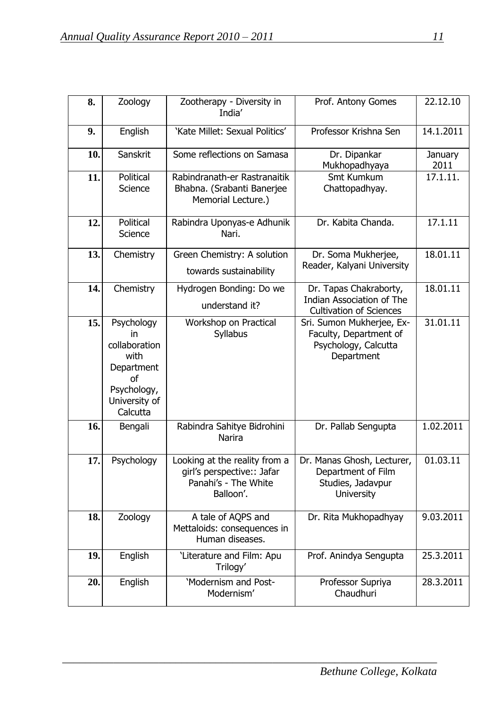| 8.  | Zoology                                                                                                   | Zootherapy - Diversity in<br>India'                                                              | Prof. Antony Gomes                                                                           | 22.12.10        |
|-----|-----------------------------------------------------------------------------------------------------------|--------------------------------------------------------------------------------------------------|----------------------------------------------------------------------------------------------|-----------------|
| 9.  | English                                                                                                   | 'Kate Millet: Sexual Politics'                                                                   | Professor Krishna Sen                                                                        | 14.1.2011       |
| 10. | Sanskrit                                                                                                  | Some reflections on Samasa                                                                       | Dr. Dipankar<br>Mukhopadhyaya                                                                | January<br>2011 |
| 11. | Political<br>Science                                                                                      | Rabindranath-er Rastranaitik<br>Bhabna. (Srabanti Banerjee<br>Memorial Lecture.)                 | Smt Kumkum<br>Chattopadhyay.                                                                 | 17.1.11.        |
| 12. | Political<br>Science                                                                                      | Rabindra Uponyas-e Adhunik<br>Nari.                                                              | Dr. Kabita Chanda.                                                                           | 17.1.11         |
| 13. | Chemistry                                                                                                 | Green Chemistry: A solution<br>towards sustainability                                            | Dr. Soma Mukherjee,<br>Reader, Kalyani University                                            | 18.01.11        |
| 14. | Chemistry                                                                                                 | Hydrogen Bonding: Do we<br>understand it?                                                        | Dr. Tapas Chakraborty,<br><b>Indian Association of The</b><br><b>Cultivation of Sciences</b> | 18.01.11        |
| 15. | Psychology<br>in<br>collaboration<br>with<br>Department<br>0f<br>Psychology,<br>University of<br>Calcutta | Workshop on Practical<br><b>Syllabus</b>                                                         | Sri. Sumon Mukherjee, Ex-<br>Faculty, Department of<br>Psychology, Calcutta<br>Department    | 31.01.11        |
| 16. | Bengali                                                                                                   | Rabindra Sahitye Bidrohini<br>Narira                                                             | Dr. Pallab Sengupta                                                                          | 1.02.2011       |
| 17. | Psychology                                                                                                | Looking at the reality from a<br>girl's perspective:: Jafar<br>Panahi's - The White<br>Balloon'. | Dr. Manas Ghosh, Lecturer,<br>Department of Film<br>Studies, Jadavpur<br><b>University</b>   | 01.03.11        |
| 18. | Zoology                                                                                                   | A tale of AQPS and<br>Mettaloids: consequences in<br>Human diseases.                             | Dr. Rita Mukhopadhyay                                                                        | 9.03.2011       |
| 19. | English                                                                                                   | 'Literature and Film: Apu<br>Trilogy'                                                            | Prof. Anindya Sengupta                                                                       | 25.3.2011       |
| 20. | English                                                                                                   | 'Modernism and Post-<br>Modernism'                                                               | Professor Supriya<br>Chaudhuri                                                               | 28.3.2011       |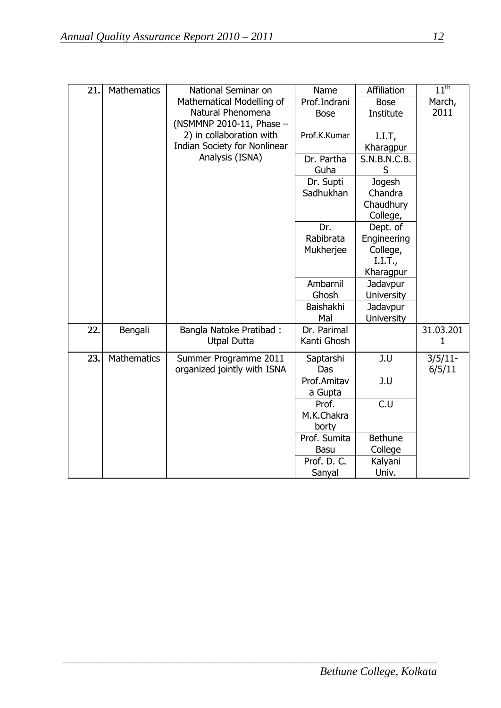| 21. | <b>Mathematics</b> | National Seminar on<br>Mathematical Modelling of<br>Natural Phenomena | Name<br>Prof.Indrani       | Affiliation<br><b>Bose</b> | $11^{\text{th}}$<br>March,<br>2011 |
|-----|--------------------|-----------------------------------------------------------------------|----------------------------|----------------------------|------------------------------------|
|     |                    | (NSMMNP 2010-11, Phase -                                              | <b>Bose</b>                | Institute                  |                                    |
|     |                    | 2) in collaboration with                                              | Prof.K.Kumar               | I.I.T.                     |                                    |
|     |                    | Indian Society for Nonlinear                                          |                            | Kharagpur                  |                                    |
|     |                    | Analysis (ISNA)                                                       | Dr. Partha                 | S.N.B.N.C.B.               |                                    |
|     |                    |                                                                       | Guha                       | S                          |                                    |
|     |                    |                                                                       | Dr. Supti                  | Jogesh                     |                                    |
|     |                    |                                                                       | Sadhukhan                  | Chandra                    |                                    |
|     |                    |                                                                       |                            | Chaudhury<br>College,      |                                    |
|     |                    |                                                                       | Dr.                        | Dept. of                   |                                    |
|     |                    |                                                                       | Rabibrata                  | Engineering                |                                    |
|     |                    |                                                                       | Mukherjee                  | College,                   |                                    |
|     |                    |                                                                       |                            | I.I.T.,                    |                                    |
|     |                    |                                                                       |                            | Kharagpur                  |                                    |
|     |                    |                                                                       | Ambarnil                   | Jadavpur                   |                                    |
|     |                    |                                                                       | Ghosh                      | <b>University</b>          |                                    |
|     |                    |                                                                       | Baishakhi                  | Jadavpur                   |                                    |
| 22. | Bengali            | <b>Bangla Natoke Pratibad:</b>                                        | Mal<br>Dr. Parimal         | <b>University</b>          | 31.03.201                          |
|     |                    | <b>Utpal Dutta</b>                                                    | Kanti Ghosh                |                            | 1                                  |
| 23. | <b>Mathematics</b> | Summer Programme 2011                                                 | Saptarshi                  | J.U                        | $3/5/11$ -                         |
|     |                    | organized jointly with ISNA                                           | Das                        |                            | 6/5/11                             |
|     |                    |                                                                       | Prof.Amitav                | J.U                        |                                    |
|     |                    |                                                                       | a Gupta                    |                            |                                    |
|     |                    |                                                                       | Prof.                      | C.U                        |                                    |
|     |                    |                                                                       | M.K.Chakra                 |                            |                                    |
|     |                    |                                                                       | borty                      |                            |                                    |
|     |                    |                                                                       | Prof. Sumita               | <b>Bethune</b>             |                                    |
|     |                    |                                                                       | <b>Basu</b><br>Prof. D. C. | College<br>Kalyani         |                                    |
|     |                    |                                                                       | Sanyal                     | Univ.                      |                                    |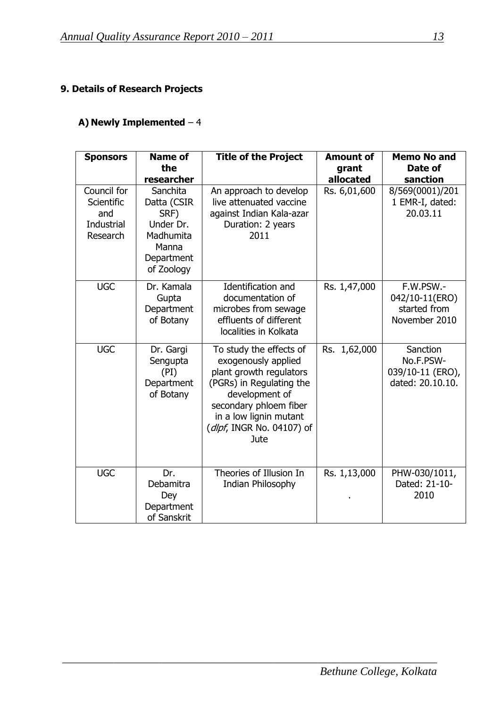# **9. Details of Research Projects**

# **A) Newly Implemented** – 4

| <b>Sponsors</b>                                                   | <b>Name of</b><br>the<br>researcher                                                            | <b>Title of the Project</b>                                                                                                                                                                                      | <b>Amount of</b><br>grant<br>allocated | <b>Memo No and</b><br>Date of<br>sanction                     |
|-------------------------------------------------------------------|------------------------------------------------------------------------------------------------|------------------------------------------------------------------------------------------------------------------------------------------------------------------------------------------------------------------|----------------------------------------|---------------------------------------------------------------|
| Council for<br>Scientific<br>and<br><b>Industrial</b><br>Research | Sanchita<br>Datta (CSIR<br>SRF)<br>Under Dr.<br>Madhumita<br>Manna<br>Department<br>of Zoology | An approach to develop<br>live attenuated vaccine<br>against Indian Kala-azar<br>Duration: 2 years<br>2011                                                                                                       | Rs. 6,01,600                           | 8/569(0001)/201<br>1 EMR-I, dated:<br>20.03.11                |
| <b>UGC</b>                                                        | Dr. Kamala<br>Gupta<br>Department<br>of Botany                                                 | Identification and<br>documentation of<br>microbes from sewage<br>effluents of different<br>localities in Kolkata                                                                                                | Rs. 1,47,000                           | F.W.PSW.-<br>042/10-11(ERO)<br>started from<br>November 2010  |
| <b>UGC</b>                                                        | Dr. Gargi<br>Sengupta<br>(PI)<br>Department<br>of Botany                                       | To study the effects of<br>exogenously applied<br>plant growth regulators<br>(PGRs) in Regulating the<br>development of<br>secondary phloem fiber<br>in a low lignin mutant<br>(dlpf, INGR No. 04107) of<br>Jute | Rs. 1,62,000                           | Sanction<br>No.F.PSW-<br>039/10-11 (ERO),<br>dated: 20.10.10. |
| <b>UGC</b>                                                        | Dr.<br>Debamitra<br>Dey<br>Department<br>of Sanskrit                                           | Theories of Illusion In<br>Indian Philosophy                                                                                                                                                                     | Rs. 1,13,000                           | PHW-030/1011,<br>Dated: 21-10-<br>2010                        |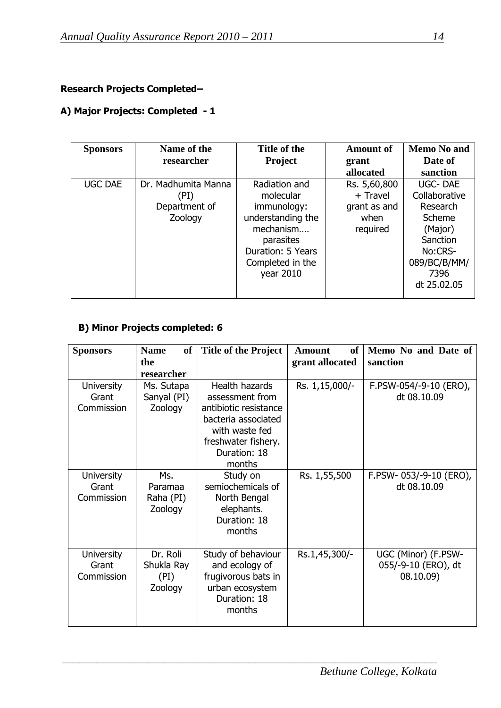# **Research Projects Completed–**

# **A) Major Projects: Completed - 1**

| <b>Sponsors</b> | Name of the<br>researcher                               | Title of the<br><b>Project</b>                                                                                                                 | <b>Amount of</b><br>grant                                    | <b>Memo No and</b><br>Date of                                                                                   |
|-----------------|---------------------------------------------------------|------------------------------------------------------------------------------------------------------------------------------------------------|--------------------------------------------------------------|-----------------------------------------------------------------------------------------------------------------|
|                 |                                                         |                                                                                                                                                | allocated                                                    | sanction                                                                                                        |
| <b>UGC DAE</b>  | Dr. Madhumita Manna<br>(PI)<br>Department of<br>Zoology | Radiation and<br>molecular<br>immunology:<br>understanding the<br>mechanism<br>parasites<br>Duration: 5 Years<br>Completed in the<br>year 2010 | Rs. 5,60,800<br>+ Travel<br>grant as and<br>when<br>required | <b>UGC-DAE</b><br>Collaborative<br>Research<br>Scheme<br>(Major)<br>Sanction<br>No:CRS-<br>089/BC/B/MM/<br>7396 |
|                 |                                                         |                                                                                                                                                |                                                              | dt 25.02.05                                                                                                     |

# **B) Minor Projects completed: 6**

| <b>Sponsors</b>                          | <b>Name</b><br><b>of</b>                  | <b>Title of the Project</b>                                                                                                                          | <b>of</b><br><b>Amount</b> | Memo No and Date of                                     |
|------------------------------------------|-------------------------------------------|------------------------------------------------------------------------------------------------------------------------------------------------------|----------------------------|---------------------------------------------------------|
|                                          | the                                       |                                                                                                                                                      | grant allocated            | sanction                                                |
|                                          | researcher                                |                                                                                                                                                      |                            |                                                         |
| <b>University</b><br>Grant<br>Commission | Ms. Sutapa<br>Sanyal (PI)<br>Zoology      | Health hazards<br>assessment from<br>antibiotic resistance<br>bacteria associated<br>with waste fed<br>freshwater fishery.<br>Duration: 18<br>months | Rs. 1,15,000/-             | F.PSW-054/-9-10 (ERO),<br>dt 08.10.09                   |
| <b>University</b><br>Grant<br>Commission | Ms.<br>Paramaa<br>Raha (PI)<br>Zoology    | Study on<br>semiochemicals of<br>North Bengal<br>elephants.<br>Duration: 18<br>months                                                                | Rs. 1,55,500               | F.PSW-053/-9-10 (ERO),<br>dt 08.10.09                   |
| <b>University</b><br>Grant<br>Commission | Dr. Roli<br>Shukla Ray<br>(PI)<br>Zoology | Study of behaviour<br>and ecology of<br>frugivorous bats in<br>urban ecosystem<br>Duration: 18<br>months                                             | Rs.1,45,300/-              | UGC (Minor) (F.PSW-<br>055/-9-10 (ERO), dt<br>08.10.09) |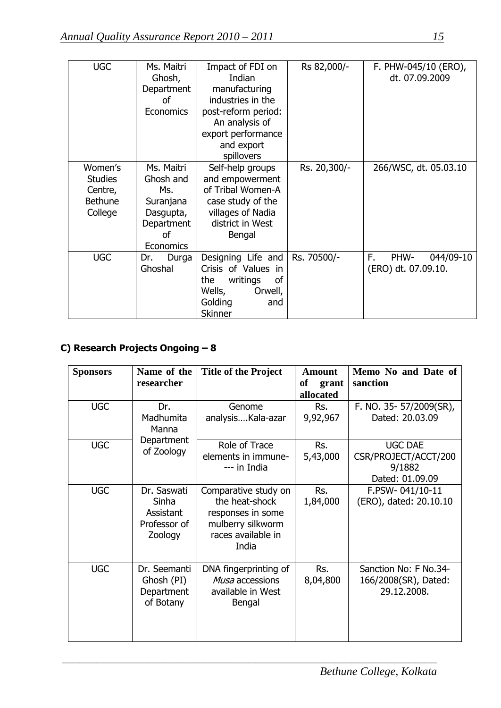| <b>UGC</b>                                                        | Ms. Maitri<br>Ghosh,<br>Department<br>οf<br>Economics                                                       | Impact of FDI on<br>Indian<br>manufacturing<br>industries in the<br>post-reform period:<br>An analysis of<br>export performance<br>and export<br>spillovers | Rs 82,000/-  | F. PHW-045/10 (ERO),<br>dt. 07.09.2009         |
|-------------------------------------------------------------------|-------------------------------------------------------------------------------------------------------------|-------------------------------------------------------------------------------------------------------------------------------------------------------------|--------------|------------------------------------------------|
| Women's<br><b>Studies</b><br>Centre,<br><b>Bethune</b><br>College | Ms. Maitri<br>Ghosh and<br>Ms.<br>Suranjana<br>Dasgupta,<br>Department<br><sub>of</sub><br><b>Economics</b> | Self-help groups<br>and empowerment<br>of Tribal Women-A<br>case study of the<br>villages of Nadia<br>district in West<br>Bengal                            | Rs. 20,300/- | 266/WSC, dt. 05.03.10                          |
| <b>UGC</b>                                                        | Durga<br>Dr.<br>Ghoshal                                                                                     | Designing Life and<br>Crisis of Values in<br>of<br>writings<br>the<br>Wells,<br>Orwell,<br>Golding<br>and<br>Skinner                                        | Rs. 70500/-  | F.<br>PHW-<br>044/09-10<br>(ERO) dt. 07.09.10. |

# **C) Research Projects Ongoing – 8**

| <b>Sponsors</b> | Name of the                                                  | <b>Title of the Project</b>                                                                                     | <b>Amount</b>   | Memo No and Date of                                          |
|-----------------|--------------------------------------------------------------|-----------------------------------------------------------------------------------------------------------------|-----------------|--------------------------------------------------------------|
|                 | researcher                                                   |                                                                                                                 | of<br>grant     | sanction                                                     |
|                 |                                                              |                                                                                                                 | allocated       |                                                              |
| <b>UGC</b>      | Dr.                                                          | Genome                                                                                                          | Rs.             | F. NO. 35-57/2009(SR),                                       |
|                 | Madhumita<br>Manna                                           | analysis Kala-azar                                                                                              | 9,92,967        | Dated: 20.03.09                                              |
| <b>UGC</b>      | Department                                                   | Role of Trace                                                                                                   | Rs.             | <b>UGC DAE</b>                                               |
|                 | of Zoology                                                   |                                                                                                                 |                 |                                                              |
|                 |                                                              | elements in immune-<br>--- in India                                                                             | 5,43,000        | CSR/PROJECT/ACCT/200<br>9/1882                               |
|                 |                                                              |                                                                                                                 |                 | Dated: 01.09.09                                              |
| <b>UGC</b>      | Dr. Saswati<br>Sinha<br>Assistant<br>Professor of<br>Zoology | Comparative study on<br>the heat-shock<br>responses in some<br>mulberry silkworm<br>races available in<br>India | Rs.<br>1,84,000 | F.PSW-041/10-11<br>(ERO), dated: 20.10.10                    |
| <b>UGC</b>      | Dr. Seemanti<br>Ghosh (PI)<br>Department<br>of Botany        | DNA fingerprinting of<br>Musa accessions<br>available in West<br>Bengal                                         | Rs.<br>8,04,800 | Sanction No: F No.34-<br>166/2008(SR), Dated:<br>29.12.2008. |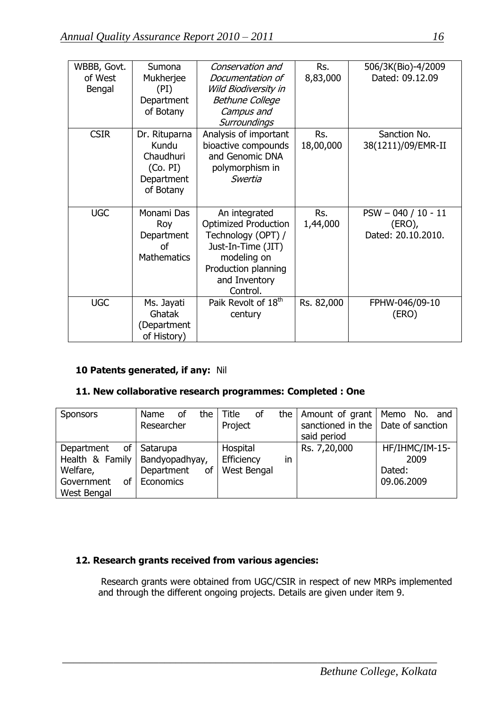| WBBB, Govt. | Sumona             | Conservation and                | Rs.        | 506/3K(Bio)-4/2009    |
|-------------|--------------------|---------------------------------|------------|-----------------------|
| of West     | Mukherjee          | Documentation of                | 8,83,000   | Dated: 09.12.09       |
| Bengal      | (PI)               | Wild Biodiversity in            |            |                       |
|             | Department         | <b>Bethune College</b>          |            |                       |
|             | of Botany          | Campus and                      |            |                       |
|             |                    | Surroundings                    |            |                       |
| <b>CSIR</b> | Dr. Rituparna      | Analysis of important           | Rs.        | Sanction No.          |
|             | Kundu              | bioactive compounds             | 18,00,000  | 38(1211)/09/EMR-II    |
|             | Chaudhuri          | and Genomic DNA                 |            |                       |
|             | (Co. PI)           | polymorphism in                 |            |                       |
|             | Department         | Swertia                         |            |                       |
|             | of Botany          |                                 |            |                       |
|             |                    |                                 |            |                       |
| <b>UGC</b>  | Monami Das         | An integrated                   | Rs.        | $PSW - 040 / 10 - 11$ |
|             | Roy                | <b>Optimized Production</b>     | 1,44,000   | $(ERO)$ ,             |
|             | Department         | Technology (OPT) /              |            | Dated: 20.10.2010.    |
|             | <b>of</b>          | Just-In-Time (JIT)              |            |                       |
|             | <b>Mathematics</b> | modeling on                     |            |                       |
|             |                    | Production planning             |            |                       |
|             |                    | and Inventory                   |            |                       |
|             |                    | Control.                        |            |                       |
| <b>UGC</b>  | Ms. Jayati         | Paik Revolt of 18 <sup>th</sup> | Rs. 82,000 | FPHW-046/09-10        |
|             | Ghatak             | century                         |            | (ERO)                 |
|             | (Department        |                                 |            |                       |
|             | of History)        |                                 |            |                       |

# **10 Patents generated, if any:** Nil

# **11. New collaborative research programmes: Completed : One**

| <b>Sponsors</b>                                                                                         | the<br>οf<br>Name<br>Researcher           | Title<br>οf<br>Project                      | the   Amount of grant   Memo No. and<br>sanctioned in the $\vert$ Date of sanction<br>said period |                                                |
|---------------------------------------------------------------------------------------------------------|-------------------------------------------|---------------------------------------------|---------------------------------------------------------------------------------------------------|------------------------------------------------|
| of I<br>Department<br>Health & Family   Bandyopadhyay,<br>Welfare,<br>Government<br>of I<br>West Bengal | Satarupa<br>Department<br>οf<br>Economics | Hospital<br>Efficiency<br>in<br>West Bengal | Rs. 7,20,000                                                                                      | HF/IHMC/IM-15-<br>2009<br>Dated:<br>09.06.2009 |

# **12. Research grants received from various agencies:**

 Research grants were obtained from UGC/CSIR in respect of new MRPs implemented and through the different ongoing projects. Details are given under item 9.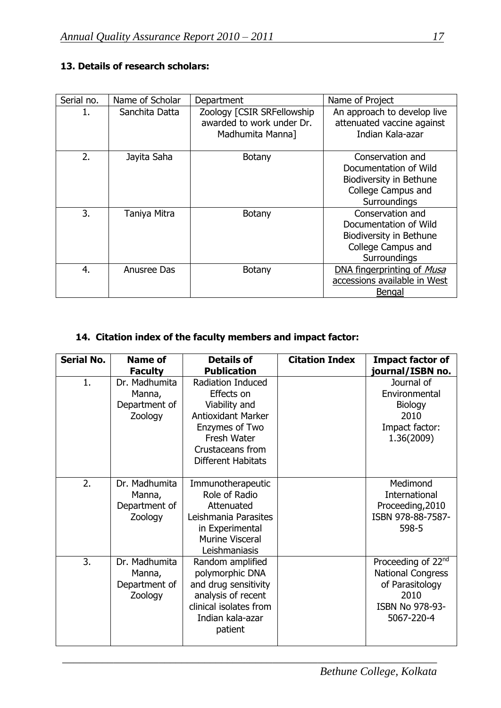# **13. Details of research scholars:**

| Serial no. | Name of Scholar | Department                                                                  | Name of Project                                                                                            |
|------------|-----------------|-----------------------------------------------------------------------------|------------------------------------------------------------------------------------------------------------|
| 1.         | Sanchita Datta  | Zoology [CSIR SRFellowship<br>awarded to work under Dr.<br>Madhumita Manna] | An approach to develop live<br>attenuated vaccine against<br>Indian Kala-azar                              |
| 2.         | Jayita Saha     | <b>Botany</b>                                                               | Conservation and<br>Documentation of Wild<br>Biodiversity in Bethune<br>College Campus and<br>Surroundings |
| 3.         | Taniya Mitra    | <b>Botany</b>                                                               | Conservation and<br>Documentation of Wild<br>Biodiversity in Bethune<br>College Campus and<br>Surroundings |
| 4.         | Anusree Das     | <b>Botany</b>                                                               | DNA fingerprinting of Musa<br>accessions available in West<br>Bengal                                       |

# **14. Citation index of the faculty members and impact factor:**

| <b>Serial No.</b> | <b>Name of</b><br><b>Faculty</b>                    | <b>Details of</b><br><b>Publication</b>                                                                                                                  | <b>Citation Index</b> | <b>Impact factor of</b><br>journal/ISBN no.                                                                            |
|-------------------|-----------------------------------------------------|----------------------------------------------------------------------------------------------------------------------------------------------------------|-----------------------|------------------------------------------------------------------------------------------------------------------------|
| 1.                | Dr. Madhumita<br>Manna,<br>Department of<br>Zoology | Radiation Induced<br>Effects on<br>Viability and<br><b>Antioxidant Marker</b><br>Enzymes of Two<br>Fresh Water<br>Crustaceans from<br>Different Habitats |                       | Journal of<br>Environmental<br><b>Biology</b><br>2010<br>Impact factor:<br>1.36(2009)                                  |
| 2.                | Dr. Madhumita<br>Manna,<br>Department of<br>Zoology | Immunotherapeutic<br>Role of Radio<br>Attenuated<br>Leishmania Parasites<br>in Experimental<br><b>Murine Visceral</b><br>Leishmaniasis                   |                       | Medimond<br>International<br>Proceeding, 2010<br>ISBN 978-88-7587-<br>598-5                                            |
| 3.                | Dr. Madhumita<br>Manna,<br>Department of<br>Zoology | Random amplified<br>polymorphic DNA<br>and drug sensitivity<br>analysis of recent<br>clinical isolates from<br>Indian kala-azar<br>patient               |                       | Proceeding of 22 <sup>nd</sup><br><b>National Congress</b><br>of Parasitology<br>2010<br>ISBN No 978-93-<br>5067-220-4 |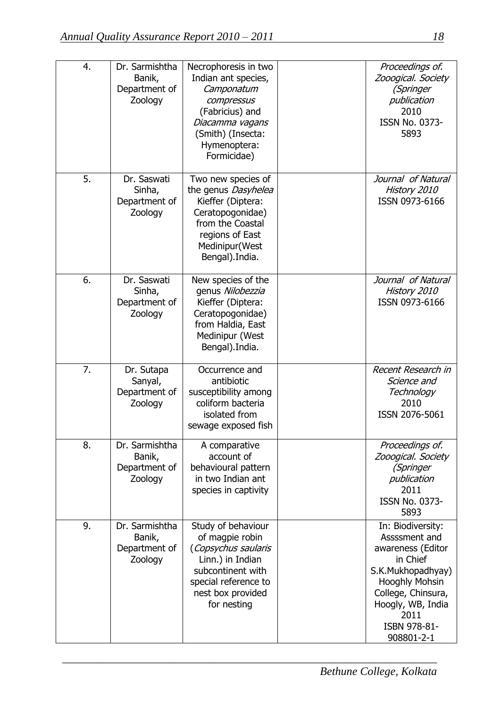| 4. | Dr. Sarmishtha<br>Banik,<br>Department of<br>Zoology | Necrophoresis in two<br>Indian ant species,<br>Camponatum<br>compressus<br>(Fabricius) and<br>Diacamma vagans<br>(Smith) (Insecta:<br>Hymenoptera:<br>Formicidae) | Proceedings of.<br>Zooogical. Society<br>(Springer<br>publication<br>2010<br><b>ISSN No. 0373-</b><br>5893                                                                                         |
|----|------------------------------------------------------|-------------------------------------------------------------------------------------------------------------------------------------------------------------------|----------------------------------------------------------------------------------------------------------------------------------------------------------------------------------------------------|
| 5. | Dr. Saswati<br>Sinha,<br>Department of<br>Zoology    | Two new species of<br>the genus Dasyhelea<br>Kieffer (Diptera:<br>Ceratopogonidae)<br>from the Coastal<br>regions of East<br>Medinipur(West<br>Bengal). India.    | Journal of Natural<br>History 2010<br>ISSN 0973-6166                                                                                                                                               |
| 6. | Dr. Saswati<br>Sinha,<br>Department of<br>Zoology    | New species of the<br>genus Nilobezzia<br>Kieffer (Diptera:<br>Ceratopogonidae)<br>from Haldia, East<br>Medinipur (West<br>Bengal). India.                        | Journal of Natural<br>History 2010<br>ISSN 0973-6166                                                                                                                                               |
| 7. | Dr. Sutapa<br>Sanyal,<br>Department of<br>Zoology    | Occurrence and<br>antibiotic<br>susceptibility among<br>coliform bacteria<br>isolated from<br>sewage exposed fish                                                 | Recent Research in<br>Science and<br>Technology<br>2010<br>ISSN 2076-5061                                                                                                                          |
| 8. | Dr. Sarmishtha<br>Banik,<br>Department of<br>Zoology | A comparative<br>account of<br>behavioural pattern<br>in two Indian ant<br>species in captivity                                                                   | Proceedings of.<br>Zooogical. Society<br>(Springer<br>publication<br>2011<br><b>ISSN No. 0373-</b><br>5893                                                                                         |
| 9. | Dr. Sarmishtha<br>Banik,<br>Department of<br>Zoology | Study of behaviour<br>of magpie robin<br>(Copsychus saularis<br>Linn.) in Indian<br>subcontinent with<br>special reference to<br>nest box provided<br>for nesting | In: Biodiversity:<br>Assssment and<br>awareness (Editor<br>in Chief<br>S.K.Mukhopadhyay)<br><b>Hooghly Mohsin</b><br>College, Chinsura,<br>Hoogly, WB, India<br>2011<br>ISBN 978-81-<br>908801-2-1 |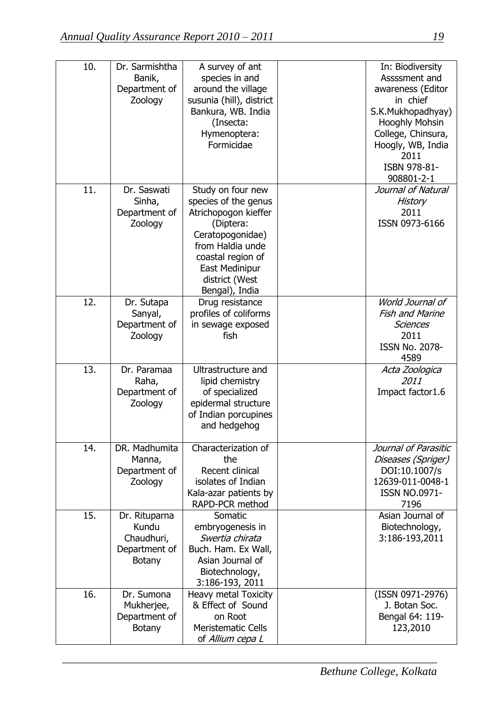| 10. | Dr. Sarmishtha<br>Banik,<br>Department of<br>Zoology                   | A survey of ant<br>species in and<br>around the village<br>susunia (hill), district<br>Bankura, WB. India<br>(Insecta:<br>Hymenoptera:<br>Formicidae                                              | In: Biodiversity<br>Assssment and<br>awareness (Editor<br>in chief<br>S.K.Mukhopadhyay)<br><b>Hooghly Mohsin</b><br>College, Chinsura,<br>Hoogly, WB, India<br>2011<br>ISBN 978-81-<br>908801-2-1 |
|-----|------------------------------------------------------------------------|---------------------------------------------------------------------------------------------------------------------------------------------------------------------------------------------------|---------------------------------------------------------------------------------------------------------------------------------------------------------------------------------------------------|
| 11. | Dr. Saswati<br>Sinha,<br>Department of<br>Zoology                      | Study on four new<br>species of the genus<br>Atrichopogon kieffer<br>(Diptera:<br>Ceratopogonidae)<br>from Haldia unde<br>coastal region of<br>East Medinipur<br>district (West<br>Bengal), India | Journal of Natural<br>History<br>2011<br>ISSN 0973-6166                                                                                                                                           |
| 12. | Dr. Sutapa<br>Sanyal,<br>Department of<br>Zoology                      | Drug resistance<br>profiles of coliforms<br>in sewage exposed<br>fish                                                                                                                             | World Journal of<br><b>Fish and Marine</b><br><b>Sciences</b><br>2011<br><b>ISSN No. 2078-</b><br>4589                                                                                            |
| 13. | Dr. Paramaa<br>Raha,<br>Department of<br>Zoology                       | Ultrastructure and<br>lipid chemistry<br>of specialized<br>epidermal structure<br>of Indian porcupines<br>and hedgehog                                                                            | Acta Zoologica<br>2011<br>Impact factor1.6                                                                                                                                                        |
| 14. | DR. Madhumita<br>Manna,<br>Department of<br>Zoology                    | Characterization of<br>the<br>Recent clinical<br>isolates of Indian<br>Kala-azar patients by<br>RAPD-PCR method                                                                                   | Journal of Parasitic<br>Diseases (Spriger)<br>DOI:10.1007/s<br>12639-011-0048-1<br><b>ISSN NO.0971-</b><br>7196                                                                                   |
| 15. | Dr. Rituparna<br>Kundu<br>Chaudhuri,<br>Department of<br><b>Botany</b> | Somatic<br>embryogenesis in<br>Swertia chirata<br>Buch. Ham. Ex Wall,<br>Asian Journal of<br>Biotechnology,<br>3:186-193, 2011                                                                    | Asian Journal of<br>Biotechnology,<br>3:186-193,2011                                                                                                                                              |
| 16. | Dr. Sumona<br>Mukherjee,<br>Department of<br><b>Botany</b>             | Heavy metal Toxicity<br>& Effect of Sound<br>on Root<br><b>Meristematic Cells</b><br>of Allium cepa L                                                                                             | (ISSN 0971-2976)<br>J. Botan Soc.<br>Bengal 64: 119-<br>123,2010                                                                                                                                  |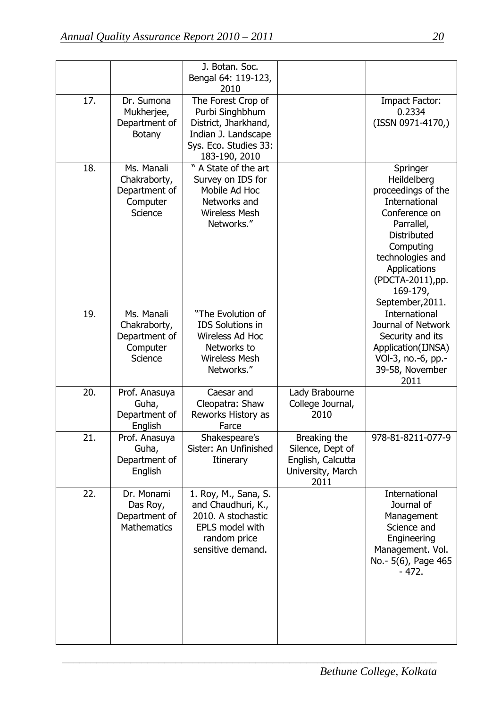|     |                                                                           | J. Botan. Soc.<br>Bengal 64: 119-123,<br>2010                                                                                  |                                                                                    |                                                                                                                                                                                                                           |
|-----|---------------------------------------------------------------------------|--------------------------------------------------------------------------------------------------------------------------------|------------------------------------------------------------------------------------|---------------------------------------------------------------------------------------------------------------------------------------------------------------------------------------------------------------------------|
| 17. | Dr. Sumona<br>Mukherjee,<br>Department of<br><b>Botany</b>                | The Forest Crop of<br>Purbi Singhbhum<br>District, Jharkhand,<br>Indian J. Landscape<br>Sys. Eco. Studies 33:<br>183-190, 2010 |                                                                                    | Impact Factor:<br>0.2334<br>(ISSN 0971-4170,)                                                                                                                                                                             |
| 18. | Ms. Manali<br>Chakraborty,<br>Department of<br>Computer<br>Science        | W<br>A State of the art<br>Survey on IDS for<br>Mobile Ad Hoc<br>Networks and<br><b>Wireless Mesh</b><br>Networks."            |                                                                                    | Springer<br>Heildelberg<br>proceedings of the<br>International<br>Conference on<br>Parrallel,<br><b>Distributed</b><br>Computing<br>technologies and<br>Applications<br>(PDCTA-2011), pp.<br>169-179,<br>September, 2011. |
| 19. | Ms. Manali<br>Chakraborty,<br>Department of<br>Computer<br><b>Science</b> | "The Evolution of<br><b>IDS Solutions in</b><br>Wireless Ad Hoc<br>Networks to<br><b>Wireless Mesh</b><br>Networks."           |                                                                                    | International<br>Journal of Network<br>Security and its<br>Application(IJNSA)<br>VOI-3, no.-6, pp.-<br>39-58, November<br>2011                                                                                            |
| 20. | Prof. Anasuya<br>Guha,<br>Department of<br>English                        | Caesar and<br>Cleopatra: Shaw<br>Reworks History as<br>Farce                                                                   | Lady Brabourne<br>College Journal,<br>2010                                         |                                                                                                                                                                                                                           |
| 21. | Prof. Anasuya<br>Guha,<br>Department of<br>English                        | Shakespeare's<br>Sister: An Unfinished<br>Itinerary                                                                            | Breaking the<br>Silence, Dept of<br>English, Calcutta<br>University, March<br>2011 | 978-81-8211-077-9                                                                                                                                                                                                         |
| 22. | Dr. Monami<br>Das Roy,<br>Department of<br><b>Mathematics</b>             | 1. Roy, M., Sana, S.<br>and Chaudhuri, K.,<br>2010. A stochastic<br>EPLS model with<br>random price<br>sensitive demand.       |                                                                                    | International<br>Journal of<br>Management<br>Science and<br>Engineering<br>Management. Vol.<br>No. - 5(6), Page 465<br>$-472.$                                                                                            |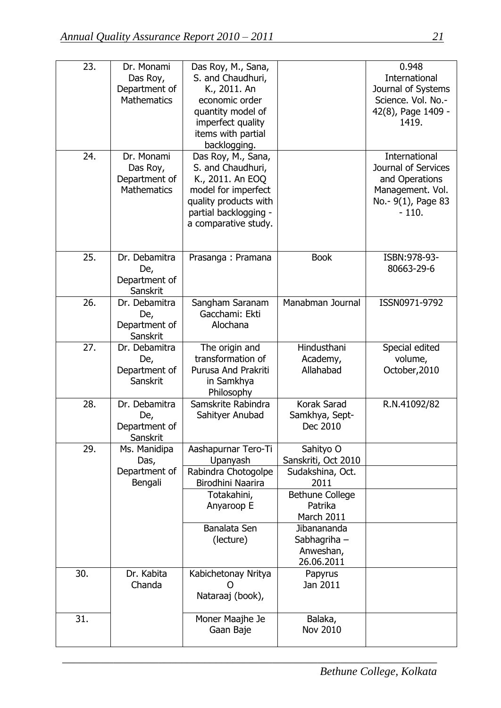| 23. | Dr. Monami<br>Das Roy,<br>Department of<br><b>Mathematics</b> | Das Roy, M., Sana,<br>S. and Chaudhuri,<br>K., 2011. An<br>economic order<br>quantity model of<br>imperfect quality<br>items with partial<br>backlogging.    |                                                        | 0.948<br><b>International</b><br>Journal of Systems<br>Science. Vol. No.-<br>42(8), Page 1409 -<br>1419.    |
|-----|---------------------------------------------------------------|--------------------------------------------------------------------------------------------------------------------------------------------------------------|--------------------------------------------------------|-------------------------------------------------------------------------------------------------------------|
| 24. | Dr. Monami<br>Das Roy,<br>Department of<br><b>Mathematics</b> | Das Roy, M., Sana,<br>S. and Chaudhuri,<br>K., 2011. An EOQ<br>model for imperfect<br>quality products with<br>partial backlogging -<br>a comparative study. |                                                        | International<br>Journal of Services<br>and Operations<br>Management. Vol.<br>No.- 9(1), Page 83<br>$-110.$ |
| 25. | Dr. Debamitra<br>De,<br>Department of<br>Sanskrit             | Prasanga: Pramana                                                                                                                                            | <b>Book</b>                                            | ISBN: 978-93-<br>80663-29-6                                                                                 |
| 26. | Dr. Debamitra<br>De,<br>Department of<br>Sanskrit             | Sangham Saranam<br>Gacchami: Ekti<br>Alochana                                                                                                                | Manabman Journal                                       | ISSN0971-9792                                                                                               |
| 27. | Dr. Debamitra<br>De,<br>Department of<br>Sanskrit             | The origin and<br>transformation of<br>Purusa And Prakriti<br>in Samkhya<br>Philosophy                                                                       | Hindusthani<br>Academy,<br>Allahabad                   | Special edited<br>volume,<br>October, 2010                                                                  |
| 28. | Dr. Debamitra<br>De,<br>Department of<br>Sanskrit             | Samskrite Rabindra<br>Sahityer Anubad                                                                                                                        | Korak Sarad<br>Samkhya, Sept-<br>Dec 2010              | R.N.41092/82                                                                                                |
| 29. | Ms. Manidipa<br>Das,                                          | Aashapurnar Tero-Ti<br>Upanyash                                                                                                                              | Sahityo O<br>Sanskriti, Oct 2010                       |                                                                                                             |
|     | Department of<br>Bengali                                      | Rabindra Chotogolpe<br>Birodhini Naarira                                                                                                                     | Sudakshina, Oct.<br>2011                               |                                                                                                             |
|     |                                                               | Totakahini,<br>Anyaroop E                                                                                                                                    | <b>Bethune College</b><br>Patrika<br>March 2011        |                                                                                                             |
|     |                                                               | Banalata Sen<br>(lecture)                                                                                                                                    | Jibanananda<br>Sabhagriha -<br>Anweshan,<br>26.06.2011 |                                                                                                             |
| 30. | Dr. Kabita<br>Chanda                                          | Kabichetonay Nritya<br>Nataraaj (book),                                                                                                                      | Papyrus<br>Jan 2011                                    |                                                                                                             |
| 31. |                                                               | Moner Maajhe Je<br>Gaan Baje                                                                                                                                 | Balaka,<br>Nov 2010                                    |                                                                                                             |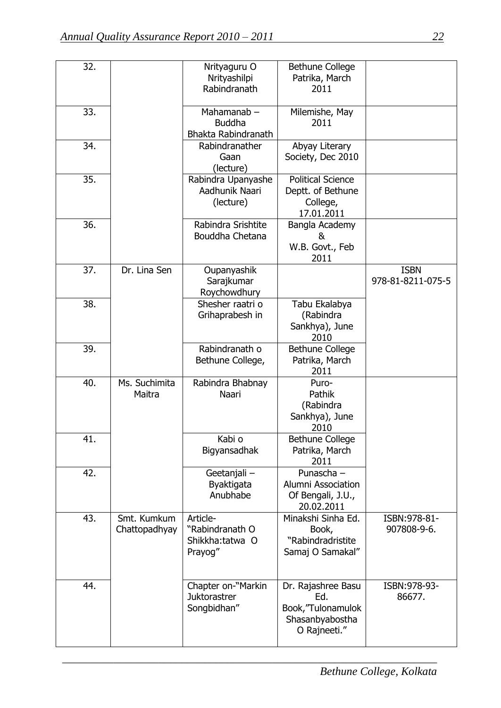| 32. |                              | Nrityaguru O<br>Nrityashilpi<br>Rabindranath              | <b>Bethune College</b><br>Patrika, March<br>2011                                   |                                  |
|-----|------------------------------|-----------------------------------------------------------|------------------------------------------------------------------------------------|----------------------------------|
| 33. |                              | Mahamanab $-$<br><b>Buddha</b><br>Bhakta Rabindranath     | Milemishe, May<br>2011                                                             |                                  |
| 34. |                              | Rabindranather<br>Gaan<br>(lecture)                       | Abyay Literary<br>Society, Dec 2010                                                |                                  |
| 35. |                              | Rabindra Upanyashe<br>Aadhunik Naari<br>(lecture)         | <b>Political Science</b><br>Deptt. of Bethune<br>College,<br>17.01.2011            |                                  |
| 36. |                              | Rabindra Srishtite<br>Bouddha Chetana                     | Bangla Academy<br>&<br>W.B. Govt., Feb<br>2011                                     |                                  |
| 37. | Dr. Lina Sen                 | Oupanyashik<br>Sarajkumar<br>Roychowdhury                 |                                                                                    | <b>ISBN</b><br>978-81-8211-075-5 |
| 38. |                              | Shesher raatri o<br>Grihaprabesh in                       | Tabu Ekalabya<br>(Rabindra<br>Sankhya), June<br>2010                               |                                  |
| 39. |                              | Rabindranath o<br>Bethune College,                        | <b>Bethune College</b><br>Patrika, March<br>2011                                   |                                  |
| 40. | Ms. Suchimita<br>Maitra      | Rabindra Bhabnay<br>Naari                                 | Puro-<br>Pathik<br>(Rabindra<br>Sankhya), June<br>2010                             |                                  |
| 41. |                              | Kabi o<br>Bigyansadhak                                    | <b>Bethune College</b><br>Patrika, March<br>2011                                   |                                  |
| 42. |                              | Geetanjali -<br>Byaktigata<br>Anubhabe                    | Punascha -<br><b>Alumni Association</b><br>Of Bengali, J.U.,<br>20.02.2011         |                                  |
| 43. | Smt. Kumkum<br>Chattopadhyay | Article-<br>"Rabindranath O<br>Shikkha:tatwa O<br>Prayog" | Minakshi Sinha Ed.<br>Book,<br>"Rabindradristite<br>Samaj O Samakal"               | ISBN:978-81-<br>907808-9-6.      |
| 44. |                              | Chapter on-"Markin<br><b>Juktorastrer</b><br>Songbidhan"  | Dr. Rajashree Basu<br>Ed.<br>Book, "Tulonamulok<br>Shasanbyabostha<br>O Rajneeti." | ISBN: 978-93-<br>86677.          |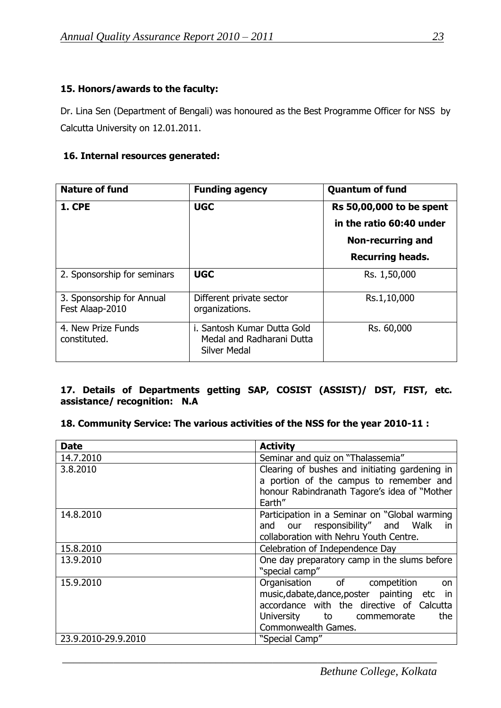# **15. Honors/awards to the faculty:**

Dr. Lina Sen (Department of Bengali) was honoured as the Best Programme Officer for NSS by Calcutta University on 12.01.2011.

## **16. Internal resources generated:**

| <b>Nature of fund</b><br><b>Funding agency</b> |                                                                                 | <b>Quantum of fund</b>   |
|------------------------------------------------|---------------------------------------------------------------------------------|--------------------------|
| <b>1. CPE</b>                                  | <b>UGC</b>                                                                      | Rs 50,00,000 to be spent |
|                                                |                                                                                 | in the ratio 60:40 under |
|                                                |                                                                                 | <b>Non-recurring and</b> |
|                                                |                                                                                 | <b>Recurring heads.</b>  |
| 2. Sponsorship for seminars                    | <b>UGC</b>                                                                      | Rs. 1,50,000             |
| 3. Sponsorship for Annual<br>Fest Alaap-2010   | Different private sector<br>organizations.                                      | Rs.1,10,000              |
| 4. New Prize Funds<br>constituted.             | i. Santosh Kumar Dutta Gold<br>Medal and Radharani Dutta<br><b>Silver Medal</b> | Rs. 60,000               |

# **17. Details of Departments getting SAP, COSIST (ASSIST)/ DST, FIST, etc. assistance/ recognition: N.A**

# **18. Community Service: The various activities of the NSS for the year 2010-11 :**

| <b>Date</b>         | <b>Activity</b>                                      |
|---------------------|------------------------------------------------------|
| 14.7.2010           | Seminar and quiz on "Thalassemia"                    |
| 3.8.2010            | Clearing of bushes and initiating gardening in       |
|                     | a portion of the campus to remember and              |
|                     | honour Rabindranath Tagore's idea of "Mother         |
|                     | Earth"                                               |
| 14.8.2010           | Participation in a Seminar on "Global warming        |
|                     | our responsibility" and Walk<br>and<br><sub>in</sub> |
|                     | collaboration with Nehru Youth Centre.               |
| 15.8.2010           | Celebration of Independence Day                      |
| 13.9.2010           | One day preparatory camp in the slums before         |
|                     | "special camp"                                       |
| 15.9.2010           | Organisation of competition<br>on                    |
|                     | music, dabate, dance, poster painting etc in         |
|                     | accordance with the directive of Calcutta            |
|                     | University to commemorate<br>the                     |
|                     | Commonwealth Games.                                  |
| 23.9.2010-29.9.2010 | "Special Camp"                                       |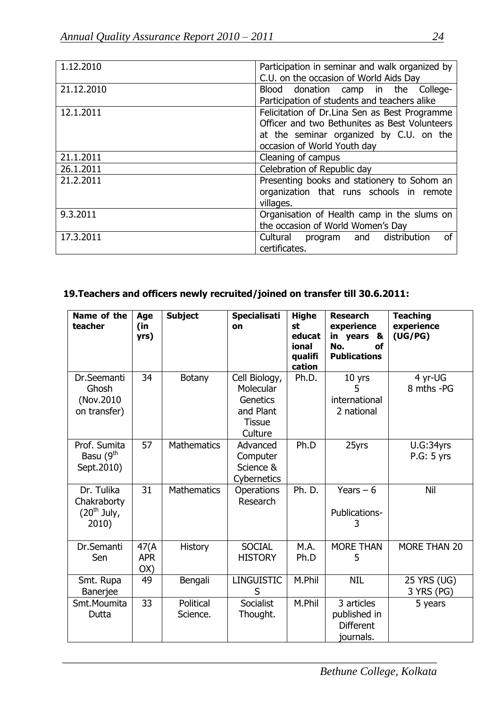| 1.12.2010  | Participation in seminar and walk organized by<br>C.U. on the occasion of World Aids Day                                                                                 |
|------------|--------------------------------------------------------------------------------------------------------------------------------------------------------------------------|
| 21.12.2010 | Blood donation camp in the College-<br>Participation of students and teachers alike                                                                                      |
| 12.1.2011  | Felicitation of Dr.Lina Sen as Best Programme<br>Officer and two Bethunites as Best Volunteers<br>at the seminar organized by C.U. on the<br>occasion of World Youth day |
| 21.1.2011  | Cleaning of campus                                                                                                                                                       |
| 26.1.2011  | Celebration of Republic day                                                                                                                                              |
| 21.2.2011  | Presenting books and stationery to Sohom an<br>organization that runs schools in remote<br>villages.                                                                     |
| 9.3.2011   | Organisation of Health camp in the slums on<br>the occasion of World Women's Day                                                                                         |
| 17.3.2011  | distribution<br>0f<br>Cultural<br>program and<br>certificates.                                                                                                           |

# **19.Teachers and officers newly recruited/joined on transfer till 30.6.2011:**

| Name of the<br>teacher                              | Age<br>(in<br>yrs)        | <b>Subject</b>        | <b>Specialisati</b><br>on                                                       | <b>Highe</b><br>st<br>educat<br>ional<br>qualifi<br>cation | <b>Research</b><br>experience<br>in years<br>&<br>No.<br>οf<br><b>Publications</b> | <b>Teaching</b><br>experience<br>(UG/PG) |
|-----------------------------------------------------|---------------------------|-----------------------|---------------------------------------------------------------------------------|------------------------------------------------------------|------------------------------------------------------------------------------------|------------------------------------------|
| Dr.Seemanti<br>Ghosh<br>(Nov.2010)<br>on transfer)  | 34                        | Botany                | Cell Biology,<br>Molecular<br>Genetics<br>and Plant<br><b>Tissue</b><br>Culture | Ph.D.                                                      | 10 yrs<br>5<br>international<br>2 national                                         | 4 yr-UG<br>8 mths -PG                    |
| Prof. Sumita<br>Basu (9 <sup>th</sup><br>Sept.2010) | 57                        | <b>Mathematics</b>    | Advanced<br>Computer<br>Science &<br>Cybernetics                                | Ph.D                                                       | 25yrs                                                                              | U.G:34yrs<br>P.G: 5 yrs                  |
| Dr. Tulika<br>Chakraborty<br>$(20th$ July,<br>2010) | 31                        | <b>Mathematics</b>    | Operations<br>Research                                                          | Ph. D.                                                     | Years $-6$<br>Publications-<br>3                                                   | Nil                                      |
| Dr.Semanti<br>Sen                                   | 47(A<br><b>APR</b><br>OX) | <b>History</b>        | <b>SOCIAL</b><br><b>HISTORY</b>                                                 | M.A.<br>Ph.D                                               | <b>MORE THAN</b><br>5                                                              | MORE THAN 20                             |
| Smt. Rupa<br>Banerjee                               | 49                        | Bengali               | <b>LINGUISTIC</b><br>S                                                          | M.Phil                                                     | <b>NIL</b>                                                                         | 25 YRS (UG)<br>3 YRS (PG)                |
| Smt.Moumita<br>Dutta                                | 33                        | Political<br>Science. | Socialist<br>Thought.                                                           | M.Phil                                                     | 3 articles<br>published in<br><b>Different</b><br>journals.                        | 5 years                                  |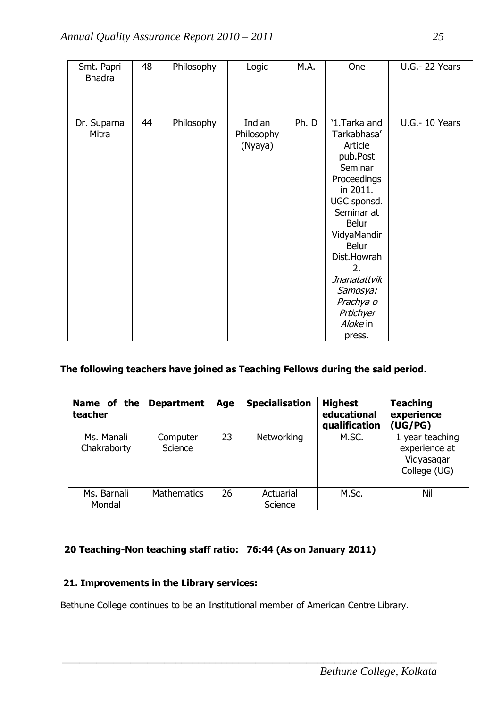| Smt. Papri<br><b>Bhadra</b> | 48 | Philosophy | Logic                           | M.A.  | One                                                                                                                                                                                                                                                                   | <b>U.G.-22 Years</b>  |
|-----------------------------|----|------------|---------------------------------|-------|-----------------------------------------------------------------------------------------------------------------------------------------------------------------------------------------------------------------------------------------------------------------------|-----------------------|
| Dr. Suparna<br>Mitra        | 44 | Philosophy | Indian<br>Philosophy<br>(Nyaya) | Ph. D | '1.Tarka and<br>Tarkabhasa'<br>Article<br>pub.Post<br>Seminar<br>Proceedings<br>in 2011.<br>UGC sponsd.<br>Seminar at<br><b>Belur</b><br>VidyaMandir<br><b>Belur</b><br>Dist.Howrah<br>2.<br>Jnanatattvik<br>Samosya:<br>Prachya o<br>Prtichyer<br>Aloke in<br>press. | <b>U.G.- 10 Years</b> |

# **The following teachers have joined as Teaching Fellows during the said period.**

| Name of the<br>teacher    | <b>Department</b>   | Age | <b>Specialisation</b> | <b>Highest</b><br>educational<br>qualification | <b>Teaching</b><br>experience<br>(UG/PG)                       |
|---------------------------|---------------------|-----|-----------------------|------------------------------------------------|----------------------------------------------------------------|
| Ms. Manali<br>Chakraborty | Computer<br>Science | 23  | Networking            | M.SC.                                          | 1 year teaching<br>experience at<br>Vidyasagar<br>College (UG) |
| Ms. Barnali<br>Mondal     | <b>Mathematics</b>  | 26  | Actuarial<br>Science  | M.Sc.                                          | Nil                                                            |

# **20 Teaching-Non teaching staff ratio: 76:44 (As on January 2011)**

# **21. Improvements in the Library services:**

Bethune College continues to be an Institutional member of American Centre Library.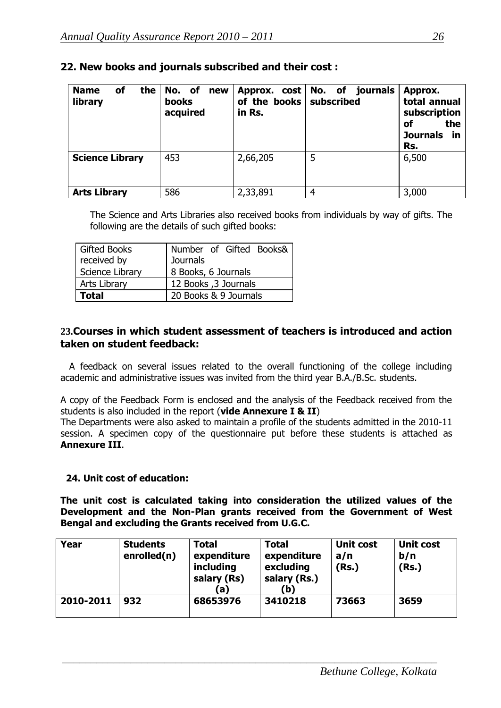| of<br>the  <br><b>Name</b><br>library | No. of<br>new<br>books<br>acquired | Approx. cost No. of<br>of the books<br>in Rs. | journals<br>subscribed | Approx.<br>total annual<br>subscription<br>the<br>οf<br><b>Journals</b><br>- in<br>Rs. |
|---------------------------------------|------------------------------------|-----------------------------------------------|------------------------|----------------------------------------------------------------------------------------|
| <b>Science Library</b>                | 453                                | 2,66,205                                      | 5                      | 6,500                                                                                  |
| <b>Arts Library</b>                   | 586                                | 2,33,891                                      | 4                      | 3,000                                                                                  |

# **22. New books and journals subscribed and their cost :**

The Science and Arts Libraries also received books from individuals by way of gifts. The following are the details of such gifted books:

| <b>Gifted Books</b> | Number of Gifted Books& |
|---------------------|-------------------------|
| received by         | <b>Journals</b>         |
| Science Library     | 8 Books, 6 Journals     |
| <b>Arts Library</b> | 12 Books , 3 Journals   |
| <b>Total</b>        | 20 Books & 9 Journals   |

# **23.Courses in which student assessment of teachers is introduced and action taken on student feedback:**

 A feedback on several issues related to the overall functioning of the college including academic and administrative issues was invited from the third year B.A./B.Sc. students.

A copy of the Feedback Form is enclosed and the analysis of the Feedback received from the students is also included in the report (**vide Annexure I & II**)

The Departments were also asked to maintain a profile of the students admitted in the 2010-11 session. A specimen copy of the questionnaire put before these students is attached as **Annexure III**.

#### **24. Unit cost of education:**

**The unit cost is calculated taking into consideration the utilized values of the Development and the Non-Plan grants received from the Government of West Bengal and excluding the Grants received from U.G.C.**

| Year      | <b>Students</b><br>enrolled(n) | <b>Total</b><br>expenditure<br>including<br>salary (Rs)<br>(a) | <b>Total</b><br>expenditure<br>excluding<br>salary (Rs.)<br>(b) | <b>Unit cost</b><br>a/n<br>(Rs.) | Unit cost<br>b/n<br>(Rs.) |
|-----------|--------------------------------|----------------------------------------------------------------|-----------------------------------------------------------------|----------------------------------|---------------------------|
| 2010-2011 | 932                            | 68653976                                                       | 3410218                                                         | 73663                            | 3659                      |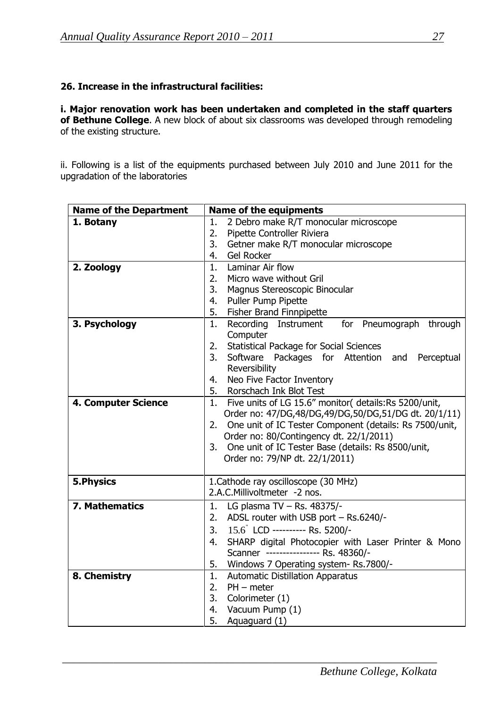### **26. Increase in the infrastructural facilities:**

**i. Major renovation work has been undertaken and completed in the staff quarters of Bethune College**. A new block of about six classrooms was developed through remodeling of the existing structure.

ii. Following is a list of the equipments purchased between July 2010 and June 2011 for the upgradation of the laboratories

| <b>Name of the Department</b> | <b>Name of the equipments</b>                                                   |
|-------------------------------|---------------------------------------------------------------------------------|
| 1. Botany                     | 2 Debro make R/T monocular microscope<br>1.<br>2.<br>Pipette Controller Riviera |
|                               | 3.<br>Getner make R/T monocular microscope                                      |
|                               | Gel Rocker<br>4.                                                                |
| 2. Zoology                    | Laminar Air flow<br>1.                                                          |
|                               | Micro wave without Gril<br>2.                                                   |
|                               | 3.<br>Magnus Stereoscopic Binocular                                             |
|                               | Puller Pump Pipette<br>4.                                                       |
|                               | Fisher Brand Finnpipette<br>5.                                                  |
| 3. Psychology                 | Recording Instrument for Pneumograph through<br>1.                              |
|                               | Computer                                                                        |
|                               | <b>Statistical Package for Social Sciences</b><br>2.                            |
|                               | 3.<br>Software Packages for Attention<br>and<br>Perceptual                      |
|                               | Reversibility                                                                   |
|                               | Neo Five Factor Inventory<br>4.<br>Rorschach Ink Blot Test<br>5.                |
| <b>4. Computer Science</b>    | Five units of LG 15.6" monitor( details:Rs 5200/unit,<br>1.                     |
|                               | Order no: 47/DG,48/DG,49/DG,50/DG,51/DG dt. 20/1/11)                            |
|                               | One unit of IC Tester Component (details: Rs 7500/unit,<br>2.                   |
|                               | Order no: 80/Contingency dt. 22/1/2011)                                         |
|                               | 3. One unit of IC Tester Base (details: Rs 8500/unit,                           |
|                               | Order no: 79/NP dt. 22/1/2011)                                                  |
|                               |                                                                                 |
| <b>5.Physics</b>              | 1. Cathode ray oscilloscope (30 MHz)                                            |
|                               | 2.A.C.Millivoltmeter -2 nos.                                                    |
| 7. Mathematics                | LG plasma TV - Rs. 48375/-<br>1.                                                |
|                               | ADSL router with USB port - Rs.6240/-<br>2.                                     |
|                               | 15.6 LCD ---------- Rs. 5200/-<br>3.                                            |
|                               | SHARP digital Photocopier with Laser Printer & Mono<br>4.                       |
|                               | Scanner ---------------- Rs. 48360/-                                            |
|                               | 5.<br>Windows 7 Operating system- Rs.7800/-                                     |
| 8. Chemistry                  | <b>Automatic Distillation Apparatus</b><br>1.                                   |
|                               | 2.<br>$PH$ – meter                                                              |
|                               | 3.<br>Colorimeter (1)                                                           |
|                               | 4.<br>Vacuum Pump (1)                                                           |
|                               | 5.<br>Aquaguard (1)                                                             |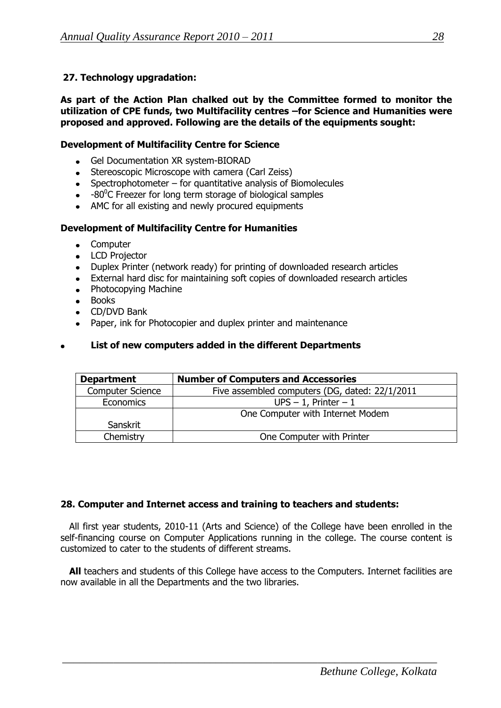# **27. Technology upgradation:**

**As part of the Action Plan chalked out by the Committee formed to monitor the utilization of CPE funds, two Multifacility centres –for Science and Humanities were proposed and approved. Following are the details of the equipments sought:** 

#### **Development of Multifacility Centre for Science**

- Gel Documentation XR system-BIORAD
- Stereoscopic Microscope with camera (Carl Zeiss)
- Spectrophotometer for quantitative analysis of Biomolecules
- -80 $^{\circ}$ C Freezer for long term storage of biological samples
- AMC for all existing and newly procured equipments

#### **Development of Multifacility Centre for Humanities**

- **Computer**  $\bullet$
- LCD Projector
- Duplex Printer (network ready) for printing of downloaded research articles  $\bullet$
- External hard disc for maintaining soft copies of downloaded research articles  $\bullet$
- Photocopying Machine
- Books
- CD/DVD Bank
- Paper, ink for Photocopier and duplex printer and maintenance

#### **List of new computers added in the different Departments**

| <b>Department</b>       | <b>Number of Computers and Accessories</b>     |  |
|-------------------------|------------------------------------------------|--|
| <b>Computer Science</b> | Five assembled computers (DG, dated: 22/1/2011 |  |
| <b>Economics</b>        | $UPS - 1$ , Printer $-1$                       |  |
|                         | One Computer with Internet Modem               |  |
| Sanskrit                |                                                |  |
| Chemistry               | One Computer with Printer                      |  |

#### **28. Computer and Internet access and training to teachers and students:**

 All first year students, 2010-11 (Arts and Science) of the College have been enrolled in the self-financing course on Computer Applications running in the college. The course content is customized to cater to the students of different streams.

 **All** teachers and students of this College have access to the Computers. Internet facilities are now available in all the Departments and the two libraries.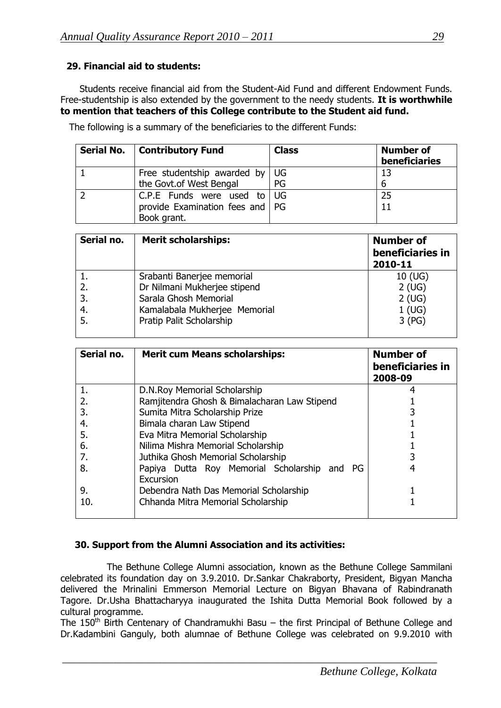# **29. Financial aid to students:**

Students receive financial aid from the Student-Aid Fund and different Endowment Funds. Free-studentship is also extended by the government to the needy students. **It is worthwhile to mention that teachers of this College contribute to the Student aid fund.**

| Serial No.   Contributory Fund         | <b>Class</b> | <b>Number of</b><br>beneficiaries |
|----------------------------------------|--------------|-----------------------------------|
| Free studentship awarded by $\vert$ UG |              | 13                                |
| the Govt.of West Bengal                | PG           | 6                                 |
| C.P.E Funds were used to $\cup$ UG     |              | 25                                |
| provide Examination fees and   PG      |              | 11                                |
| Book grant.                            |              |                                   |

The following is a summary of the beneficiaries to the different Funds:

| Serial no. | <b>Merit scholarships:</b>    | <b>Number of</b><br>beneficiaries in<br>2010-11 |
|------------|-------------------------------|-------------------------------------------------|
|            | Srabanti Banerjee memorial    | $10$ (UG)                                       |
| 2.         | Dr Nilmani Mukherjee stipend  | 2(UG)                                           |
| 3.         | Sarala Ghosh Memorial         | 2(UG)                                           |
| 4.         | Kamalabala Mukherjee Memorial | 1(UG)                                           |
| 5.         | Pratip Palit Scholarship      | 3(PG)                                           |

| Serial no. | <b>Merit cum Means scholarships:</b>                      | <b>Number of</b><br>beneficiaries in<br>2008-09 |
|------------|-----------------------------------------------------------|-------------------------------------------------|
| 1.         | D.N.Roy Memorial Scholarship                              |                                                 |
| 2.         | Ramjitendra Ghosh & Bimalacharan Law Stipend              |                                                 |
| 3.         | Sumita Mitra Scholarship Prize                            |                                                 |
| 4.         | Bimala charan Law Stipend                                 |                                                 |
| 5.         | Eva Mitra Memorial Scholarship                            |                                                 |
| 6.         | Nilima Mishra Memorial Scholarship                        |                                                 |
| 7.         | Juthika Ghosh Memorial Scholarship                        |                                                 |
| 8.         | Papiya Dutta Roy Memorial Scholarship and PG<br>Excursion |                                                 |
| 9.         | Debendra Nath Das Memorial Scholarship                    |                                                 |
| 10.        | Chhanda Mitra Memorial Scholarship                        |                                                 |

#### **30. Support from the Alumni Association and its activities:**

 The Bethune College Alumni association, known as the Bethune College Sammilani celebrated its foundation day on 3.9.2010. Dr.Sankar Chakraborty, President, Bigyan Mancha delivered the Mrinalini Emmerson Memorial Lecture on Bigyan Bhavana of Rabindranath Tagore. Dr.Usha Bhattacharyya inaugurated the Ishita Dutta Memorial Book followed by a cultural programme.

The  $150<sup>th</sup>$  Birth Centenary of Chandramukhi Basu – the first Principal of Bethune College and Dr.Kadambini Ganguly, both alumnae of Bethune College was celebrated on 9.9.2010 with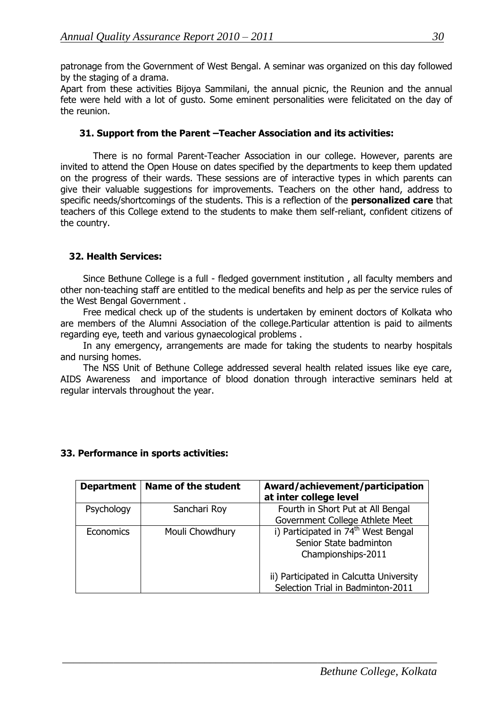patronage from the Government of West Bengal. A seminar was organized on this day followed by the staging of a drama.

Apart from these activities Bijoya Sammilani, the annual picnic, the Reunion and the annual fete were held with a lot of gusto. Some eminent personalities were felicitated on the day of the reunion.

#### **31. Support from the Parent –Teacher Association and its activities:**

There is no formal Parent-Teacher Association in our college. However, parents are invited to attend the Open House on dates specified by the departments to keep them updated on the progress of their wards. These sessions are of interactive types in which parents can give their valuable suggestions for improvements. Teachers on the other hand, address to specific needs/shortcomings of the students. This is a reflection of the **personalized care** that teachers of this College extend to the students to make them self-reliant, confident citizens of the country.

#### **32. Health Services:**

Since Bethune College is a full - fledged government institution , all faculty members and other non-teaching staff are entitled to the medical benefits and help as per the service rules of the West Bengal Government .

Free medical check up of the students is undertaken by eminent doctors of Kolkata who are members of the Alumni Association of the college.Particular attention is paid to ailments regarding eye, teeth and various gynaecological problems .

In any emergency, arrangements are made for taking the students to nearby hospitals and nursing homes.

The NSS Unit of Bethune College addressed several health related issues like eye care, AIDS Awareness and importance of blood donation through interactive seminars held at regular intervals throughout the year.

|            | Department   Name of the student | Award/achievement/participation<br>at inter college level |
|------------|----------------------------------|-----------------------------------------------------------|
| Psychology | Sanchari Roy                     | Fourth in Short Put at All Bengal                         |
|            |                                  | Government College Athlete Meet                           |
| Economics  | Mouli Chowdhury                  | i) Participated in 74 <sup>th</sup> West Bengal           |
|            |                                  | Senior State badminton                                    |
|            |                                  | Championships-2011                                        |
|            |                                  | ii) Participated in Calcutta University                   |
|            |                                  | Selection Trial in Badminton-2011                         |

 $\frac{1}{2}$  , and the contribution of the contribution of the contribution of the contribution of the contribution of the contribution of the contribution of the contribution of the contribution of the contribution of the c

#### **33. Performance in sports activities:**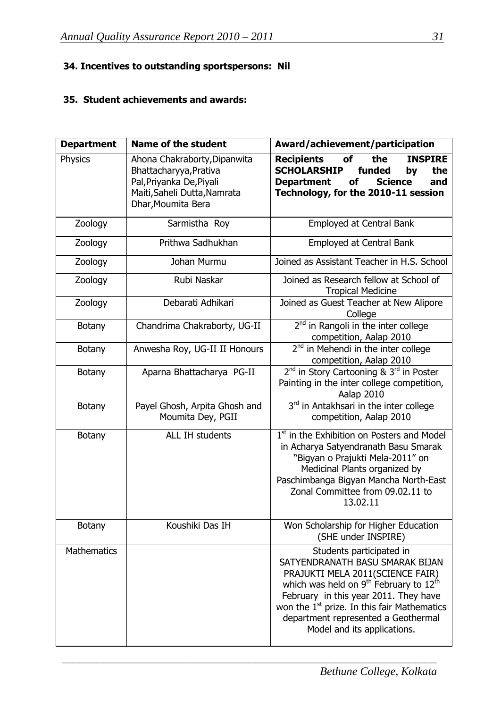# **34. Incentives to outstanding sportspersons: Nil**

# **35. Student achievements and awards:**

| <b>Department</b>  | <b>Name of the student</b>                                                                                                               | Award/achievement/participation                                                                                                                                                                                                                                                                                                             |
|--------------------|------------------------------------------------------------------------------------------------------------------------------------------|---------------------------------------------------------------------------------------------------------------------------------------------------------------------------------------------------------------------------------------------------------------------------------------------------------------------------------------------|
| <b>Physics</b>     | Ahona Chakraborty, Dipanwita<br>Bhattacharyya, Prativa<br>Pal, Priyanka De, Piyali<br>Maiti, Saheli Dutta, Namrata<br>Dhar, Moumita Bera | <b>Recipients</b><br>of<br>the<br><b>INSPIRE</b><br><b>SCHOLARSHIP</b><br>funded<br>the<br>by<br><b>Science</b><br><b>Department</b><br><b>of</b><br>and<br>Technology, for the 2010-11 session                                                                                                                                             |
| Zoology            | Sarmistha Roy                                                                                                                            | Employed at Central Bank                                                                                                                                                                                                                                                                                                                    |
| Zoology            | Prithwa Sadhukhan                                                                                                                        | Employed at Central Bank                                                                                                                                                                                                                                                                                                                    |
| Zoology            | Johan Murmu                                                                                                                              | Joined as Assistant Teacher in H.S. School                                                                                                                                                                                                                                                                                                  |
| Zoology            | Rubi Naskar                                                                                                                              | Joined as Research fellow at School of<br><b>Tropical Medicine</b>                                                                                                                                                                                                                                                                          |
| Zoology            | Debarati Adhikari                                                                                                                        | Joined as Guest Teacher at New Alipore<br>College                                                                                                                                                                                                                                                                                           |
| <b>Botany</b>      | Chandrima Chakraborty, UG-II                                                                                                             | $2nd$ in Rangoli in the inter college<br>competition, Aalap 2010                                                                                                                                                                                                                                                                            |
| <b>Botany</b>      | Anwesha Roy, UG-II II Honours                                                                                                            | 2 <sup>nd</sup> in Mehendi in the inter college<br>competition, Aalap 2010                                                                                                                                                                                                                                                                  |
| <b>Botany</b>      | Aparna Bhattacharya PG-II                                                                                                                | 2 <sup>nd</sup> in Story Cartooning & 3 <sup>rd</sup> in Poster<br>Painting in the inter college competition,<br>Aalap 2010                                                                                                                                                                                                                 |
| <b>Botany</b>      | Payel Ghosh, Arpita Ghosh and<br>Moumita Dey, PGII                                                                                       | 3 <sup>rd</sup> in Antakhsari in the inter college<br>competition, Aalap 2010                                                                                                                                                                                                                                                               |
| <b>Botany</b>      | ALL IH students                                                                                                                          | 1 <sup>st</sup> in the Exhibition on Posters and Model<br>in Acharya Satyendranath Basu Smarak<br>"Bigyan o Prajukti Mela-2011" on<br>Medicinal Plants organized by<br>Paschimbanga Bigyan Mancha North-East<br>Zonal Committee from 09.02.11 to<br>13.02.11                                                                                |
| <b>Botany</b>      | Koushiki Das IH                                                                                                                          | Won Scholarship for Higher Education<br>(SHE under INSPIRE)                                                                                                                                                                                                                                                                                 |
| <b>Mathematics</b> |                                                                                                                                          | Students participated in<br>SATYENDRANATH BASU SMARAK BIJAN<br>PRAJUKTI MELA 2011(SCIENCE FAIR)<br>which was held on 9 <sup>th</sup> February to 12 <sup>th</sup><br>February in this year 2011. They have<br>won the 1 <sup>st</sup> prize. In this fair Mathematics<br>department represented a Geothermal<br>Model and its applications. |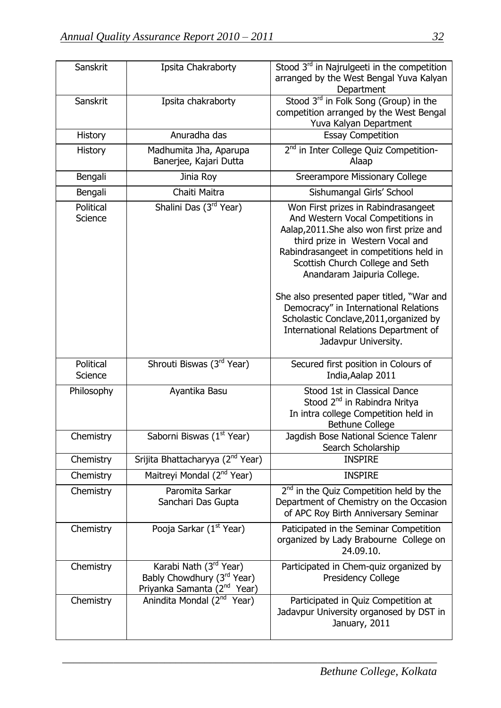| Sanskrit             | Ipsita Chakraborty                                                                                          | Stood 3rd in Najrulgeeti in the competition<br>arranged by the West Bengal Yuva Kalyan<br>Department                                                                                                                                                                                                                                                                                                                                                                      |
|----------------------|-------------------------------------------------------------------------------------------------------------|---------------------------------------------------------------------------------------------------------------------------------------------------------------------------------------------------------------------------------------------------------------------------------------------------------------------------------------------------------------------------------------------------------------------------------------------------------------------------|
| Sanskrit             | Ipsita chakraborty                                                                                          | Stood $3rd$ in Folk Song (Group) in the<br>competition arranged by the West Bengal<br>Yuva Kalyan Department                                                                                                                                                                                                                                                                                                                                                              |
| <b>History</b>       | Anuradha das                                                                                                | <b>Essay Competition</b>                                                                                                                                                                                                                                                                                                                                                                                                                                                  |
| <b>History</b>       | Madhumita Jha, Aparupa<br>Banerjee, Kajari Dutta                                                            | 2 <sup>nd</sup> in Inter College Quiz Competition-<br>Alaap                                                                                                                                                                                                                                                                                                                                                                                                               |
| Bengali              | Jinia Roy                                                                                                   | Sreerampore Missionary College                                                                                                                                                                                                                                                                                                                                                                                                                                            |
| Bengali              | Chaiti Maitra                                                                                               | Sishumangal Girls' School                                                                                                                                                                                                                                                                                                                                                                                                                                                 |
| Political<br>Science | Shalini Das (3rd Year)                                                                                      | Won First prizes in Rabindrasangeet<br>And Western Vocal Competitions in<br>Aalap, 2011. She also won first prize and<br>third prize in Western Vocal and<br>Rabindrasangeet in competitions held in<br>Scottish Church College and Seth<br>Anandaram Jaipuria College.<br>She also presented paper titled, "War and<br>Democracy" in International Relations<br>Scholastic Conclave, 2011, organized by<br>International Relations Department of<br>Jadavpur University. |
| Political<br>Science | Shrouti Biswas (3rd Year)                                                                                   | Secured first position in Colours of<br>India, Aalap 2011                                                                                                                                                                                                                                                                                                                                                                                                                 |
| Philosophy           | Ayantika Basu                                                                                               | Stood 1st in Classical Dance<br>Stood 2 <sup>nd</sup> in Rabindra Nritya<br>In intra college Competition held in<br><b>Bethune College</b>                                                                                                                                                                                                                                                                                                                                |
| Chemistry            | Saborni Biswas (1 <sup>st</sup> Year)                                                                       | Jagdish Bose National Science Talenr<br>Search Scholarship                                                                                                                                                                                                                                                                                                                                                                                                                |
| Chemistry            | Srijita Bhattacharyya (2 <sup>nd</sup> Year)                                                                | <b>INSPIRE</b>                                                                                                                                                                                                                                                                                                                                                                                                                                                            |
| Chemistry            | Maitreyi Mondal (2 <sup>nd</sup> Year)                                                                      | <b>INSPIRE</b>                                                                                                                                                                                                                                                                                                                                                                                                                                                            |
| Chemistry            | Paromita Sarkar<br>Sanchari Das Gupta                                                                       | $2nd$ in the Quiz Competition held by the<br>Department of Chemistry on the Occasion<br>of APC Roy Birth Anniversary Seminar                                                                                                                                                                                                                                                                                                                                              |
| Chemistry            | Pooja Sarkar (1 <sup>st</sup> Year)                                                                         | Paticipated in the Seminar Competition<br>organized by Lady Brabourne College on<br>24.09.10.                                                                                                                                                                                                                                                                                                                                                                             |
| Chemistry            | Karabi Nath (3rd Year)<br>Bably Chowdhury (3 <sup>rd</sup> Year)<br>Priyanka Samanta (2 <sup>nd</sup> Year) | Participated in Chem-quiz organized by<br>Presidency College                                                                                                                                                                                                                                                                                                                                                                                                              |
| Chemistry            | Anindita Mondal (2 <sup>nd</sup> Year)                                                                      | Participated in Quiz Competition at<br>Jadavpur University organosed by DST in<br>January, 2011                                                                                                                                                                                                                                                                                                                                                                           |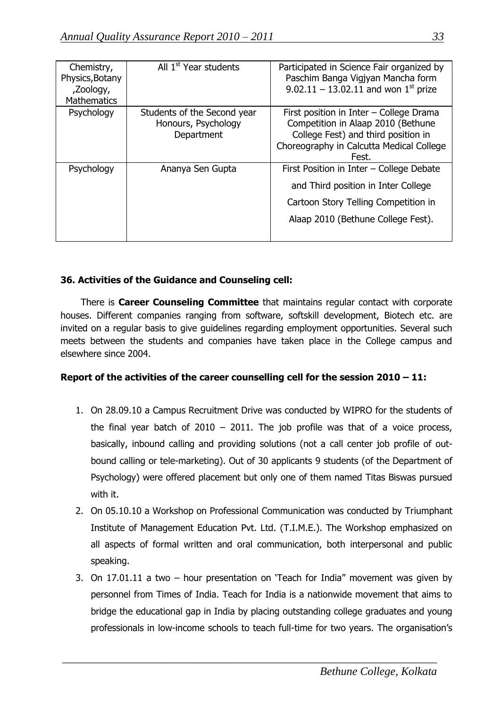| Chemistry,<br>Physics, Botany<br>,Zoology,<br><b>Mathematics</b> | All 1 <sup>st</sup> Year students                                | Participated in Science Fair organized by<br>Paschim Banga Vigjyan Mancha form<br>9.02.11 – 13.02.11 and won $1^{st}$ prize                                               |
|------------------------------------------------------------------|------------------------------------------------------------------|---------------------------------------------------------------------------------------------------------------------------------------------------------------------------|
| Psychology                                                       | Students of the Second year<br>Honours, Psychology<br>Department | First position in Inter - College Drama<br>Competition in Alaap 2010 (Bethune<br>College Fest) and third position in<br>Choreography in Calcutta Medical College<br>Fest. |
| Psychology                                                       | Ananya Sen Gupta                                                 | First Position in Inter - College Debate<br>and Third position in Inter College<br>Cartoon Story Telling Competition in<br>Alaap 2010 (Bethune College Fest).             |

# **36. Activities of the Guidance and Counseling cell:**

 There is **Career Counseling Committee** that maintains regular contact with corporate houses. Different companies ranging from software, softskill development, Biotech etc. are invited on a regular basis to give guidelines regarding employment opportunities. Several such meets between the students and companies have taken place in the College campus and elsewhere since 2004.

# **Report of the activities of the career counselling cell for the session 2010 – 11:**

- 1. On 28.09.10 a Campus Recruitment Drive was conducted by WIPRO for the students of the final year batch of  $2010 - 2011$ . The job profile was that of a voice process, basically, inbound calling and providing solutions (not a call center job profile of outbound calling or tele-marketing). Out of 30 applicants 9 students (of the Department of Psychology) were offered placement but only one of them named Titas Biswas pursued with it.
- 2. On 05.10.10 a Workshop on Professional Communication was conducted by Triumphant Institute of Management Education Pvt. Ltd. (T.I.M.E.). The Workshop emphasized on all aspects of formal written and oral communication, both interpersonal and public speaking.
- 3. On 17.01.11 a two hour presentation on "Teach for India" movement was given by personnel from Times of India. Teach for India is a nationwide movement that aims to bridge the educational gap in India by placing outstanding college graduates and young professionals in low-income schools to teach full-time for two years. The organisation"s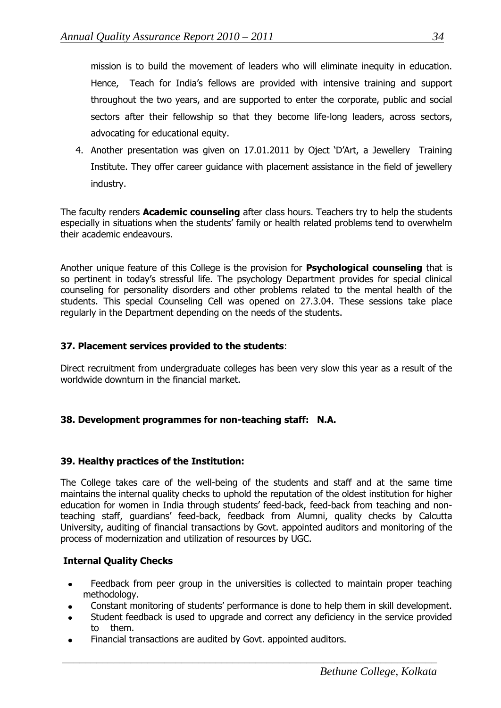mission is to build the movement of leaders who will eliminate inequity in education. Hence, Teach for India"s fellows are provided with intensive training and support throughout the two years, and are supported to enter the corporate, public and social sectors after their fellowship so that they become life-long leaders, across sectors, advocating for educational equity.

4. Another presentation was given on 17.01.2011 by Oject "D"Art, a Jewellery Training Institute. They offer career guidance with placement assistance in the field of jewellery industry.

The faculty renders **Academic counseling** after class hours. Teachers try to help the students especially in situations when the students' family or health related problems tend to overwhelm their academic endeavours.

Another unique feature of this College is the provision for **Psychological counseling** that is so pertinent in today's stressful life. The psychology Department provides for special clinical counseling for personality disorders and other problems related to the mental health of the students. This special Counseling Cell was opened on 27.3.04. These sessions take place regularly in the Department depending on the needs of the students.

# **37. Placement services provided to the students**:

Direct recruitment from undergraduate colleges has been very slow this year as a result of the worldwide downturn in the financial market.

# **38. Development programmes for non-teaching staff: N.A.**

# **39. Healthy practices of the Institution:**

The College takes care of the well-being of the students and staff and at the same time maintains the internal quality checks to uphold the reputation of the oldest institution for higher education for women in India through students' feed-back, feed-back from teaching and nonteaching staff, guardians" feed-back, feedback from Alumni, quality checks by Calcutta University, auditing of financial transactions by Govt. appointed auditors and monitoring of the process of modernization and utilization of resources by UGC.

# **Internal Quality Checks**

- Feedback from peer group in the universities is collected to maintain proper teaching  $\bullet$ methodology.
- Constant monitoring of students" performance is done to help them in skill development.
- Student feedback is used to upgrade and correct any deficiency in the service provided to them.

 $\frac{1}{2}$  , and the contribution of the contribution of the contribution of the contribution of the contribution of the contribution of the contribution of the contribution of the contribution of the contribution of the c

Financial transactions are audited by Govt. appointed auditors.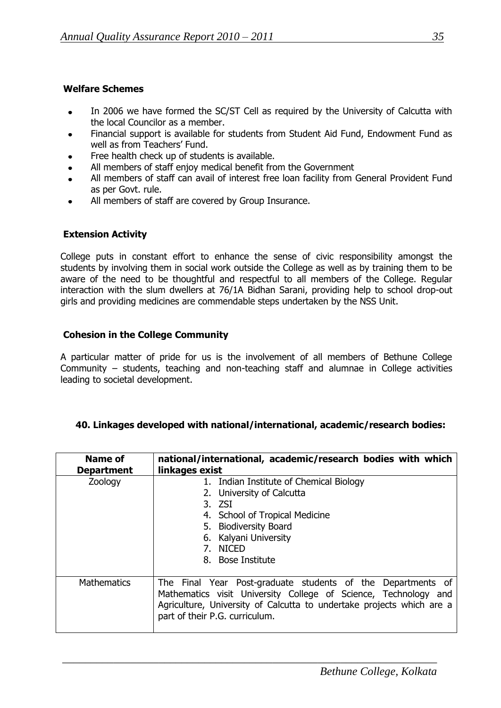### **Welfare Schemes**

- In 2006 we have formed the SC/ST Cell as required by the University of Calcutta with  $\bullet$ the local Councilor as a member.
- Financial support is available for students from Student Aid Fund, Endowment Fund as well as from Teachers' Fund.
- Free health check up of students is available.
- All members of staff enjoy medical benefit from the Government
- All members of staff can avail of interest free loan facility from General Provident Fund as per Govt. rule.
- All members of staff are covered by Group Insurance.

# **Extension Activity**

College puts in constant effort to enhance the sense of civic responsibility amongst the students by involving them in social work outside the College as well as by training them to be aware of the need to be thoughtful and respectful to all members of the College. Regular interaction with the slum dwellers at 76/1A Bidhan Sarani, providing help to school drop-out girls and providing medicines are commendable steps undertaken by the NSS Unit.

# **Cohesion in the College Community**

A particular matter of pride for us is the involvement of all members of Bethune College Community – students, teaching and non-teaching staff and alumnae in College activities leading to societal development.

#### **40. Linkages developed with national/international, academic/research bodies:**

| Name of<br><b>Department</b> | national/international, academic/research bodies with which<br>linkages exist                                                                                                                                                             |  |
|------------------------------|-------------------------------------------------------------------------------------------------------------------------------------------------------------------------------------------------------------------------------------------|--|
| Zoology                      | 1. Indian Institute of Chemical Biology<br>2. University of Calcutta<br>$3.$ ZSI<br>4. School of Tropical Medicine<br>5. Biodiversity Board<br>Kalyani University<br>6.<br>7. NICED<br>8. Bose Institute                                  |  |
| <b>Mathematics</b>           | The Final Year Post-graduate students of the Departments of<br>Mathematics visit University College of Science, Technology and<br>Agriculture, University of Calcutta to undertake projects which are a<br>part of their P.G. curriculum. |  |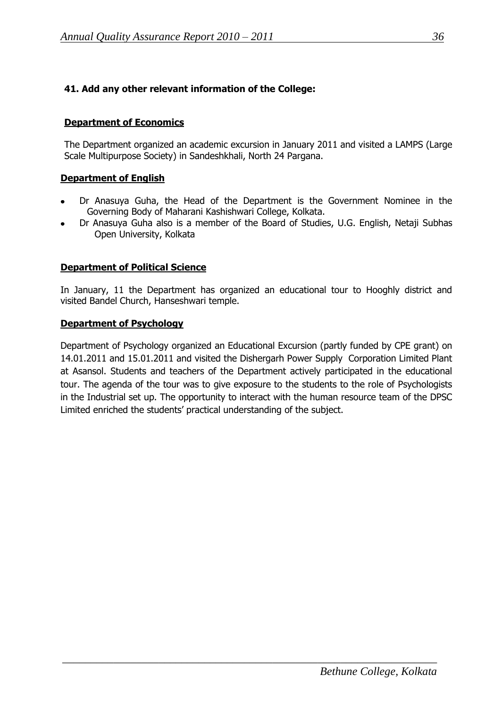# **41. Add any other relevant information of the College:**

# **Department of Economics**

The Department organized an academic excursion in January 2011 and visited a LAMPS (Large Scale Multipurpose Society) in Sandeshkhali, North 24 Pargana.

#### **Department of English**

- Dr Anasuya Guha, the Head of the Department is the Government Nominee in the Governing Body of Maharani Kashishwari College, Kolkata.
- Dr Anasuya Guha also is a member of the Board of Studies, U.G. English, Netaji Subhas Open University, Kolkata

#### **Department of Political Science**

In January, 11 the Department has organized an educational tour to Hooghly district and visited Bandel Church, Hanseshwari temple.

#### **Department of Psychology**

Department of Psychology organized an Educational Excursion (partly funded by CPE grant) on 14.01.2011 and 15.01.2011 and visited the Dishergarh Power Supply Corporation Limited Plant at Asansol. Students and teachers of the Department actively participated in the educational tour. The agenda of the tour was to give exposure to the students to the role of Psychologists in the Industrial set up. The opportunity to interact with the human resource team of the DPSC Limited enriched the students" practical understanding of the subject.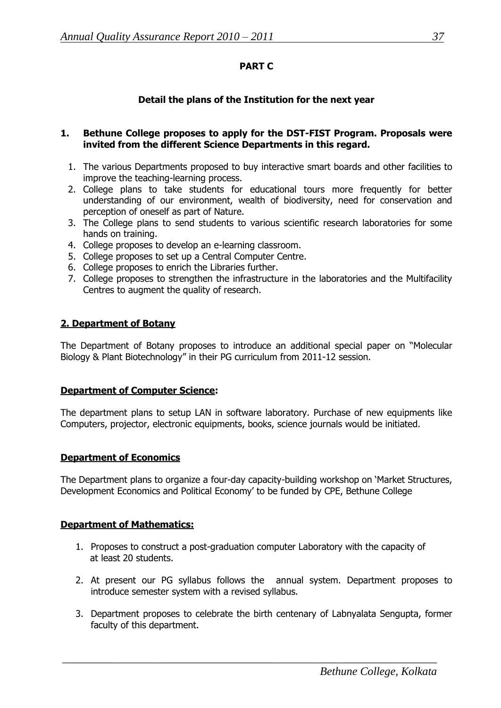# **PART C**

# **Detail the plans of the Institution for the next year**

#### **1. Bethune College proposes to apply for the DST-FIST Program. Proposals were invited from the different Science Departments in this regard.**

- 1. The various Departments proposed to buy interactive smart boards and other facilities to improve the teaching-learning process.
- 2. College plans to take students for educational tours more frequently for better understanding of our environment, wealth of biodiversity, need for conservation and perception of oneself as part of Nature.
- 3. The College plans to send students to various scientific research laboratories for some hands on training.
- 4. College proposes to develop an e-learning classroom.
- 5. College proposes to set up a Central Computer Centre.
- 6. College proposes to enrich the Libraries further.
- 7. College proposes to strengthen the infrastructure in the laboratories and the Multifacility Centres to augment the quality of research.

# **2. Department of Botany**

The Department of Botany proposes to introduce an additional special paper on "Molecular Biology & Plant Biotechnology" in their PG curriculum from 2011-12 session.

#### **Department of Computer Science:**

The department plans to setup LAN in software laboratory. Purchase of new equipments like Computers, projector, electronic equipments, books, science journals would be initiated.

#### **Department of Economics**

The Department plans to organize a four-day capacity-building workshop on "Market Structures, Development Economics and Political Economy" to be funded by CPE, Bethune College

#### **Department of Mathematics:**

- 1. Proposes to construct a post-graduation computer Laboratory with the capacity of at least 20 students.
- 2. At present our PG syllabus follows the annual system. Department proposes to introduce semester system with a revised syllabus.
- 3. Department proposes to celebrate the birth centenary of Labnyalata Sengupta, former faculty of this department.